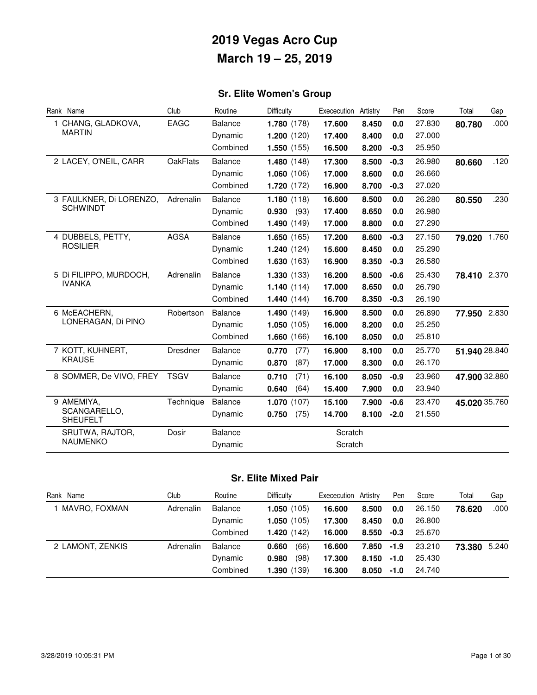## **Sr. Elite Women's Group**

| Rank Name                       | Club            | Routine        | Difficulty    | Exececution Artistry |       | Pen    | Score  | Total         | Gap   |
|---------------------------------|-----------------|----------------|---------------|----------------------|-------|--------|--------|---------------|-------|
| 1 CHANG, GLADKOVA,              | <b>EAGC</b>     | Balance        | 1.780(178)    | 17.600               | 8.450 | 0.0    | 27.830 | 80.780        | .000  |
| <b>MARTIN</b>                   |                 | Dynamic        | 1.200(120)    | 17.400               | 8.400 | 0.0    | 27.000 |               |       |
|                                 |                 | Combined       | 1.550(155)    | 16.500               | 8.200 | $-0.3$ | 25.950 |               |       |
| 2 LACEY, O'NEIL, CARR           | <b>OakFlats</b> | <b>Balance</b> | 1.480(148)    | 17.300               | 8.500 | $-0.3$ | 26.980 | 80.660        | .120  |
|                                 |                 | Dynamic        | 1.060(106)    | 17.000               | 8.600 | 0.0    | 26.660 |               |       |
|                                 |                 | Combined       | 1.720(172)    | 16.900               | 8.700 | $-0.3$ | 27.020 |               |       |
| 3 FAULKNER, Di LORENZO,         | Adrenalin       | <b>Balance</b> | 1.180(118)    | 16.600               | 8.500 | 0.0    | 26.280 | 80.550        | .230  |
| <b>SCHWINDT</b>                 |                 | Dynamic        | (93)<br>0.930 | 17.400               | 8.650 | 0.0    | 26.980 |               |       |
|                                 |                 | Combined       | 1.490(149)    | 17.000               | 8.800 | 0.0    | 27.290 |               |       |
| 4 DUBBELS, PETTY,               | <b>AGSA</b>     | <b>Balance</b> | 1.650(165)    | 17.200               | 8.600 | $-0.3$ | 27.150 | 79.020        | 1.760 |
| <b>ROSILIER</b>                 |                 | Dynamic        | 1.240(124)    | 15.600               | 8.450 | 0.0    | 25.290 |               |       |
|                                 |                 | Combined       | 1.630(163)    | 16.900               | 8.350 | $-0.3$ | 26.580 |               |       |
| 5 Di FILIPPO, MURDOCH,          | Adrenalin       | <b>Balance</b> | 1.330(133)    | 16.200               | 8.500 | $-0.6$ | 25.430 | 78.410 2.370  |       |
| <b>IVANKA</b>                   |                 | Dynamic        | 1.140(114)    | 17.000               | 8.650 | 0.0    | 26.790 |               |       |
|                                 |                 | Combined       | 1.440(144)    | 16.700               | 8.350 | $-0.3$ | 26.190 |               |       |
| 6 McEACHERN,                    | Robertson       | Balance        | 1.490(149)    | 16.900               | 8.500 | 0.0    | 26.890 | 77.950        | 2.830 |
| LONERAGAN, Di PINO              |                 | Dynamic        | 1.050(105)    | 16.000               | 8.200 | 0.0    | 25.250 |               |       |
|                                 |                 | Combined       | 1.660(166)    | 16.100               | 8.050 | 0.0    | 25.810 |               |       |
| 7 KOTT, KUHNERT,                | Dresdner        | <b>Balance</b> | 0.770<br>(77) | 16.900               | 8.100 | 0.0    | 25.770 | 51.940 28.840 |       |
| <b>KRAUSE</b>                   |                 | Dynamic        | 0.870<br>(87) | 17.000               | 8.300 | 0.0    | 26.170 |               |       |
| 8 SOMMER, De VIVO, FREY         | <b>TSGV</b>     | <b>Balance</b> | 0.710<br>(71) | 16.100               | 8.050 | $-0.9$ | 23.960 | 47.900 32.880 |       |
|                                 |                 | Dynamic        | (64)<br>0.640 | 15.400               | 7.900 | 0.0    | 23.940 |               |       |
| 9 AMEMIYA,                      | Technique       | Balance        | 1.070(107)    | 15.100               | 7.900 | $-0.6$ | 23.470 | 45.020 35.760 |       |
| SCANGARELLO,<br><b>SHEUFELT</b> |                 | Dynamic        | 0.750<br>(75) | 14.700               | 8.100 | $-2.0$ | 21.550 |               |       |
| SRUTWA, RAJTOR,                 | Dosir           | Balance        |               | Scratch              |       |        |        |               |       |
| <b>NAUMENKO</b>                 |                 | Dynamic        |               | Scratch              |       |        |        |               |       |

### **Sr. Elite Mixed Pair**

| Rank Name        | Club      | Routine        | Difficulty    | Exececution Artistry |               | Pen    | Score  | Total        | Gap  |
|------------------|-----------|----------------|---------------|----------------------|---------------|--------|--------|--------------|------|
| MAVRO. FOXMAN    | Adrenalin | <b>Balance</b> | 1.050(105)    | 16.600               | 8.500         | 0.0    | 26.150 | 78.620       | .000 |
|                  |           | Dynamic        | 1.050(105)    | 17.300               | 8.450         | 0.0    | 26.800 |              |      |
|                  |           | Combined       | 1.420(142)    | 16.000               | 8.550         | $-0.3$ | 25.670 |              |      |
| 2 LAMONT, ZENKIS | Adrenalin | Balance        | (66)<br>0.660 | 16.600               | 7.850 -1.9    |        | 23.210 | 73.380 5.240 |      |
|                  |           | Dynamic        | (98)<br>0.980 | 17.300               | $8.150 - 1.0$ |        | 25.430 |              |      |
|                  |           | Combined       | 1.390(139)    | 16.300               | 8.050         | $-1.0$ | 24.740 |              |      |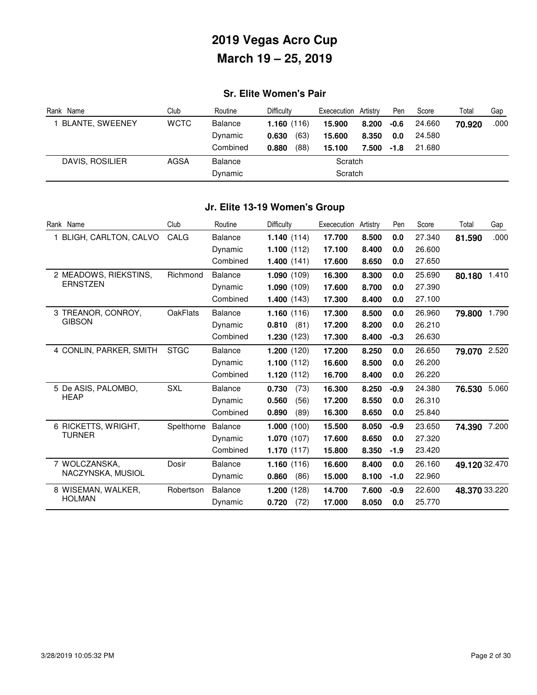## **Sr. Elite Women's Pair**

| Rank Name              | Club        | Routine        | Difficulty    | Exececution | Artistry      | Pen  | Score  | Total  | Gap  |
|------------------------|-------------|----------------|---------------|-------------|---------------|------|--------|--------|------|
| <b>BLANTE, SWEENEY</b> | <b>WCTC</b> | Balance        | 1.160(116)    | 15.900      | 8.200         | -0.6 | 24.660 | 70.920 | .000 |
|                        |             | Dynamic        | (63)<br>0.630 | 15.600      | 8.350         | 0.0  | 24.580 |        |      |
|                        |             | Combined       | (88)<br>0.880 | 15.100      | $7.500 - 1.8$ |      | 21.680 |        |      |
| DAVIS, ROSILIER        | AGSA        | <b>Balance</b> |               | Scratch     |               |      |        |        |      |
|                        |             | Dynamic        |               | Scratch     |               |      |        |        |      |

### **Jr. Elite 13-19 Women's Group**

| Rank Name               | Club            | Routine        | Difficulty    | Exececution | Artistry | Pen    | Score  | Total         | Gap   |
|-------------------------|-----------------|----------------|---------------|-------------|----------|--------|--------|---------------|-------|
| 1 BLIGH, CARLTON, CALVO | CALG            | <b>Balance</b> | 1.140(114)    | 17.700      | 8.500    | 0.0    | 27.340 | 81.590        | .000  |
|                         |                 | Dynamic        | 1.100(112)    | 17.100      | 8.400    | 0.0    | 26.600 |               |       |
|                         |                 | Combined       | 1.400(141)    | 17.600      | 8.650    | 0.0    | 27.650 |               |       |
| 2 MEADOWS, RIEKSTINS,   | Richmond        | Balance        | 1.090(109)    | 16.300      | 8.300    | 0.0    | 25.690 | 80.180        | 1.410 |
| <b>ERNSTZEN</b>         |                 | Dynamic        | 1.090(109)    | 17,600      | 8.700    | 0.0    | 27.390 |               |       |
|                         |                 | Combined       | 1.400(143)    | 17.300      | 8.400    | 0.0    | 27.100 |               |       |
| 3 TREANOR, CONROY,      | <b>OakFlats</b> | <b>Balance</b> | 1.160(116)    | 17.300      | 8.500    | 0.0    | 26.960 | 79.800        | 1.790 |
| <b>GIBSON</b>           |                 | Dynamic        | 0.810<br>(81) | 17.200      | 8.200    | 0.0    | 26.210 |               |       |
|                         |                 | Combined       | 1.230(123)    | 17.300      | 8.400    | $-0.3$ | 26.630 |               |       |
| 4 CONLIN, PARKER, SMITH | <b>STGC</b>     | <b>Balance</b> | 1.200(120)    | 17.200      | 8.250    | 0.0    | 26.650 | 79.070        | 2.520 |
|                         |                 | Dynamic        | 1.100(112)    | 16.600      | 8.500    | 0.0    | 26,200 |               |       |
|                         |                 | Combined       | 1.120(112)    | 16.700      | 8.400    | 0.0    | 26.220 |               |       |
| 5 De ASIS, PALOMBO,     | <b>SXL</b>      | <b>Balance</b> | 0.730<br>(73) | 16.300      | 8.250    | $-0.9$ | 24.380 | 76.530        | 5.060 |
| <b>HEAP</b>             |                 | Dynamic        | 0.560<br>(56) | 17.200      | 8.550    | 0.0    | 26.310 |               |       |
|                         |                 | Combined       | 0.890<br>(89) | 16.300      | 8.650    | 0.0    | 25.840 |               |       |
| 6 RICKETTS, WRIGHT,     | Spelthorne      | <b>Balance</b> | 1.000(100)    | 15.500      | 8.050    | $-0.9$ | 23.650 | 74.390        | 7.200 |
| <b>TURNER</b>           |                 | Dynamic        | 1.070(107)    | 17,600      | 8.650    | 0.0    | 27.320 |               |       |
|                         |                 | Combined       | 1.170(117)    | 15.800      | 8.350    | $-1.9$ | 23.420 |               |       |
| 7 WOLCZANSKA,           | Dosir           | <b>Balance</b> | 1.160(116)    | 16.600      | 8.400    | 0.0    | 26.160 | 49.120 32.470 |       |
| NACZYNSKA, MUSIOL       |                 | Dynamic        | (86)<br>0.860 | 15.000      | 8.100    | $-1.0$ | 22.960 |               |       |
| 8 WISEMAN, WALKER,      | Robertson       | <b>Balance</b> | 1.200(128)    | 14.700      | 7.600    | $-0.9$ | 22,600 | 48.370 33.220 |       |
| <b>HOLMAN</b>           |                 | Dynamic        | 0.720<br>(72) | 17,000      | 8.050    | 0.0    | 25.770 |               |       |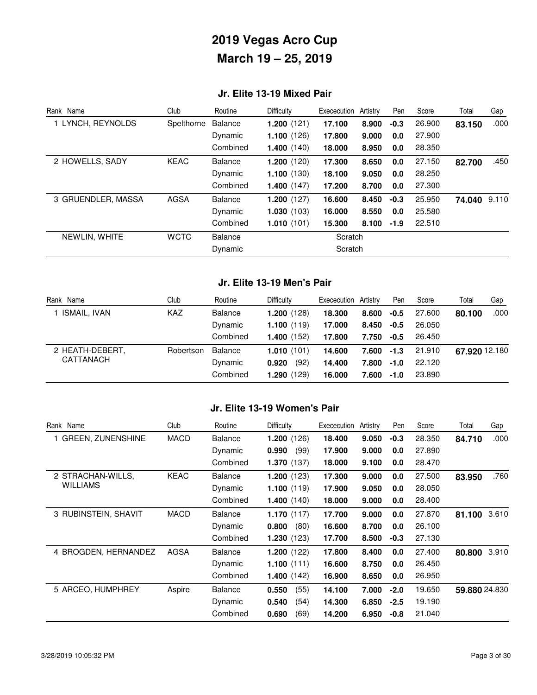### **Jr. Elite 13-19 Mixed Pair**

| Rank Name          | Club        | Routine        | Difficulty | Exececution | Artistry | Pen    | Score  | Total        | Gap  |
|--------------------|-------------|----------------|------------|-------------|----------|--------|--------|--------------|------|
| 1 LYNCH, REYNOLDS  | Spelthorne  | <b>Balance</b> | 1.200(121) | 17.100      | 8.900    | $-0.3$ | 26,900 | 83.150       | .000 |
|                    |             | Dynamic        | 1.100(126) | 17.800      | 9.000    | 0.0    | 27.900 |              |      |
|                    |             | Combined       | 1.400(140) | 18.000      | 8.950    | 0.0    | 28.350 |              |      |
| 2 HOWELLS, SADY    | KEAC        | <b>Balance</b> | 1.200(120) | 17.300      | 8.650    | 0.0    | 27.150 | 82.700       | .450 |
|                    |             | Dynamic        | 1.100(130) | 18.100      | 9.050    | 0.0    | 28,250 |              |      |
|                    |             | Combined       | 1.400(147) | 17.200      | 8.700    | 0.0    | 27,300 |              |      |
| 3 GRUENDLER, MASSA | <b>AGSA</b> | <b>Balance</b> | 1.200(127) | 16.600      | 8.450    | $-0.3$ | 25.950 | 74.040 9.110 |      |
|                    |             | Dynamic        | 1.030(103) | 16.000      | 8.550    | 0.0    | 25.580 |              |      |
|                    |             | Combined       | 1.010(101) | 15,300      | 8.100    | $-1.9$ | 22.510 |              |      |
| NEWLIN, WHITE      | <b>WCTC</b> | <b>Balance</b> |            | Scratch     |          |        |        |              |      |
|                    |             | Dynamic        |            | Scratch     |          |        |        |              |      |

#### **Jr. Elite 13-19 Men's Pair**

| Rank Name           | Club      | Routine        | <b>Difficulty</b> | Exececution | Artistrv | Pen    | Score  | Total         | Gap  |
|---------------------|-----------|----------------|-------------------|-------------|----------|--------|--------|---------------|------|
| <b>ISMAIL, IVAN</b> | KAZ       | <b>Balance</b> | 1.200(128)        | 18.300      | 8.600    | -0.5   | 27.600 | 80.100        | .000 |
|                     |           | Dynamic        | 1.100(119)        | 17.000      | 8.450    | $-0.5$ | 26.050 |               |      |
|                     |           | Combined       | 1.400(152)        | 17.800      | 7.750    | $-0.5$ | 26.450 |               |      |
| 2 HEATH-DEBERT,     | Robertson | Balance        | 1.010(101)        | 14.600      | 7.600    | $-1.3$ | 21.910 | 67.920 12.180 |      |
| CATTANACH           |           | Dynamic        | (92)<br>0.920     | 14.400      | 7.800    | $-1.0$ | 22.120 |               |      |
|                     |           | Combined       | 1.290(129)        | 16.000      | 7.600    | $-1.0$ | 23,890 |               |      |

### **Jr. Elite 13-19 Women's Pair**

| Rank Name            | Club        | Routine        | Difficulty           | Exececution | Artistry | Pen    | Score  | Total         | Gap   |
|----------------------|-------------|----------------|----------------------|-------------|----------|--------|--------|---------------|-------|
| 1 GREEN, ZUNENSHINE  | <b>MACD</b> | Balance        | 1.200(126)           | 18.400      | 9.050    | $-0.3$ | 28.350 | 84.710        | .000  |
|                      |             | Dynamic        | 0.990<br>(99)        | 17.900      | 9.000    | 0.0    | 27.890 |               |       |
|                      |             | Combined       | 1.370(137)           | 18.000      | 9.100    | 0.0    | 28.470 |               |       |
| 2 STRACHAN-WILLS.    | <b>KEAC</b> | Balance        | 1.200(123)           | 17.300      | 9.000    | 0.0    | 27.500 | 83.950        | .760  |
| <b>WILLIAMS</b>      |             | Dynamic        | 1.100(119)           | 17.900      | 9.050    | 0.0    | 28.050 |               |       |
|                      |             | Combined       | <b>1.400</b> $(140)$ | 18.000      | 9.000    | 0.0    | 28.400 |               |       |
| 3 RUBINSTEIN, SHAVIT | <b>MACD</b> | Balance        | 1.170(117)           | 17.700      | 9.000    | 0.0    | 27.870 | 81.100        | 3.610 |
|                      |             | Dynamic        | 0.800<br>(80)        | 16.600      | 8.700    | 0.0    | 26.100 |               |       |
|                      |             | Combined       | 1.230(123)           | 17.700      | 8.500    | $-0.3$ | 27.130 |               |       |
| 4 BROGDEN, HERNANDEZ | <b>AGSA</b> | <b>Balance</b> | 1.200(122)           | 17.800      | 8.400    | 0.0    | 27.400 | 80.800        | 3.910 |
|                      |             | Dynamic        | 1.100(111)           | 16.600      | 8.750    | 0.0    | 26.450 |               |       |
|                      |             | Combined       | 1.400(142)           | 16.900      | 8.650    | 0.0    | 26.950 |               |       |
| 5 ARCEO, HUMPHREY    | Aspire      | <b>Balance</b> | (55)<br>0.550        | 14.100      | 7.000    | $-2.0$ | 19.650 | 59.880 24.830 |       |
|                      |             | Dynamic        | 0.540<br>(54)        | 14.300      | 6.850    | $-2.5$ | 19.190 |               |       |
|                      |             | Combined       | (69)<br>0.690        | 14.200      | 6.950    | $-0.8$ | 21.040 |               |       |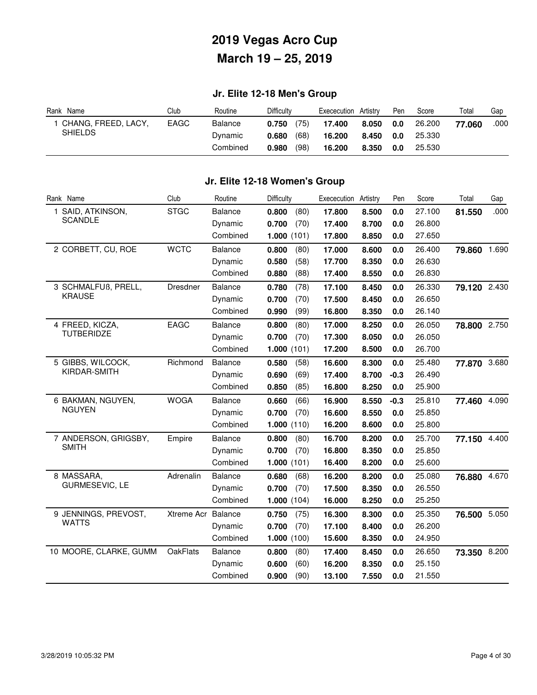### **Jr. Elite 12-18 Men's Group**

| Name<br>Rank        | Club | Routine  | Difficultv    | Artistry<br>Exececution | Pen | Score  | Total  | Gap  |
|---------------------|------|----------|---------------|-------------------------|-----|--------|--------|------|
| CHANG, FREED, LACY, | EAGC | Balance  | (75)<br>0.750 | 17.400<br>8.050         | 0.0 | 26,200 | 77.060 | .000 |
| <b>SHIELDS</b>      |      | Dynamic  | (68)<br>0.680 | 16.200<br>8.450         | 0.0 | 25,330 |        |      |
|                     |      | Combined | (98)<br>0.980 | 16.200<br>8.350         | 0.0 | 25.530 |        |      |

### **Jr. Elite 12-18 Women's Group**

| Rank Name              | Club               | Routine        | Difficulty    | Exececution Artistry |       | Pen     | Score  | Total        | Gap   |
|------------------------|--------------------|----------------|---------------|----------------------|-------|---------|--------|--------------|-------|
| 1 SAID, ATKINSON,      | <b>STGC</b>        | <b>Balance</b> | (80)<br>0.800 | 17.800               | 8.500 | 0.0     | 27.100 | 81.550       | .000  |
| <b>SCANDLE</b>         |                    | Dynamic        | 0.700<br>(70) | 17.400               | 8.700 | 0.0     | 26.800 |              |       |
|                        |                    | Combined       | 1.000(101)    | 17.800               | 8.850 | 0.0     | 27.650 |              |       |
| 2 CORBETT, CU, ROE     | <b>WCTC</b>        | <b>Balance</b> | 0.800<br>(80) | 17.000               | 8.600 | 0.0     | 26.400 | 79.860       | 1.690 |
|                        |                    | Dynamic        | 0.580<br>(58) | 17.700               | 8.350 | 0.0     | 26.630 |              |       |
|                        |                    | Combined       | 0.880<br>(88) | 17.400               | 8.550 | 0.0     | 26.830 |              |       |
| 3 SCHMALFUB, PRELL,    | Dresdner           | <b>Balance</b> | 0.780<br>(78) | 17.100               | 8.450 | 0.0     | 26.330 | 79.120 2.430 |       |
| <b>KRAUSE</b>          |                    | Dynamic        | 0.700<br>(70) | 17.500               | 8.450 | $0.0\,$ | 26.650 |              |       |
|                        |                    | Combined       | (99)<br>0.990 | 16.800               | 8.350 | 0.0     | 26.140 |              |       |
| 4 FREED, KICZA,        | EAGC               | <b>Balance</b> | 0.800<br>(80) | 17.000               | 8.250 | 0.0     | 26.050 | 78.800 2.750 |       |
| <b>TUTBERIDZE</b>      |                    | Dynamic        | (70)<br>0.700 | 17.300               | 8.050 | 0.0     | 26.050 |              |       |
|                        |                    | Combined       | 1.000(101)    | 17.200               | 8.500 | 0.0     | 26.700 |              |       |
| 5 GIBBS, WILCOCK,      | Richmond           | <b>Balance</b> | (58)<br>0.580 | 16.600               | 8.300 | 0.0     | 25.480 | 77.870 3.680 |       |
| KIRDAR-SMITH           |                    | Dynamic        | (69)<br>0.690 | 17.400               | 8.700 | $-0.3$  | 26.490 |              |       |
|                        |                    | Combined       | (85)<br>0.850 | 16.800               | 8.250 | 0.0     | 25.900 |              |       |
| 6 BAKMAN, NGUYEN,      | <b>WOGA</b>        | <b>Balance</b> | 0.660<br>(66) | 16.900               | 8.550 | $-0.3$  | 25.810 | 77.460       | 4.090 |
| <b>NGUYEN</b>          |                    | Dynamic        | (70)<br>0.700 | 16.600               | 8.550 | 0.0     | 25.850 |              |       |
|                        |                    | Combined       | 1.000(110)    | 16.200               | 8.600 | 0.0     | 25.800 |              |       |
| 7 ANDERSON, GRIGSBY,   | Empire             | <b>Balance</b> | 0.800<br>(80) | 16.700               | 8.200 | 0.0     | 25.700 | 77.150 4.400 |       |
| <b>SMITH</b>           |                    | Dynamic        | 0.700<br>(70) | 16.800               | 8.350 | 0.0     | 25.850 |              |       |
|                        |                    | Combined       | 1.000(101)    | 16.400               | 8.200 | 0.0     | 25.600 |              |       |
| 8 MASSARA,             | Adrenalin          | <b>Balance</b> | 0.680<br>(68) | 16.200               | 8.200 | 0.0     | 25.080 | 76.880       | 4.670 |
| GURMESEVIC, LE         |                    | Dynamic        | 0.700<br>(70) | 17.500               | 8.350 | 0.0     | 26.550 |              |       |
|                        |                    | Combined       | 1.000(104)    | 16.000               | 8.250 | 0.0     | 25.250 |              |       |
| 9 JENNINGS, PREVOST,   | Xtreme Acr Balance |                | 0.750<br>(75) | 16.300               | 8.300 | 0.0     | 25.350 | 76.500 5.050 |       |
| <b>WATTS</b>           |                    | Dynamic        | 0.700<br>(70) | 17.100               | 8.400 | 0.0     | 26.200 |              |       |
|                        |                    | Combined       | 1.000(100)    | 15.600               | 8.350 | 0.0     | 24.950 |              |       |
| 10 MOORE, CLARKE, GUMM | <b>OakFlats</b>    | <b>Balance</b> | (80)<br>0.800 | 17.400               | 8.450 | 0.0     | 26.650 | 73.350 8.200 |       |
|                        |                    | Dynamic        | (60)<br>0.600 | 16.200               | 8.350 | 0.0     | 25.150 |              |       |
|                        |                    | Combined       | (90)<br>0.900 | 13.100               | 7.550 | 0.0     | 21.550 |              |       |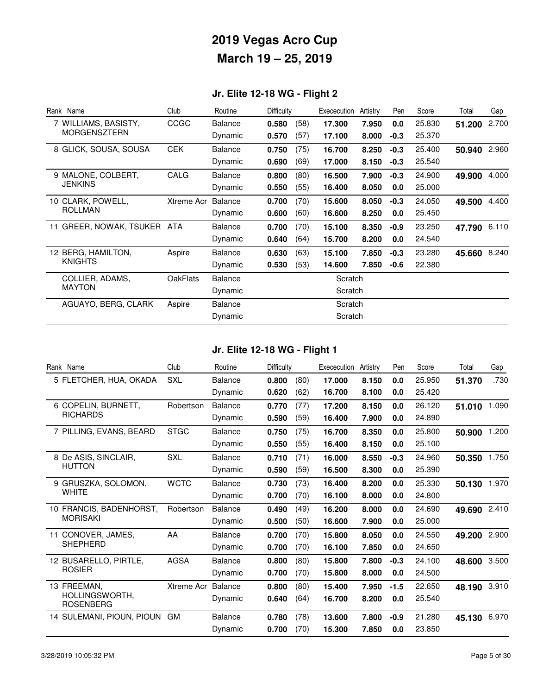## **Jr. Elite 12-18 WG - Flight 2**

| Rank Name                      | Club            | Routine        | Difficulty |      | Exececution | Artistry | Pen    | Score  | Total  | Gap   |
|--------------------------------|-----------------|----------------|------------|------|-------------|----------|--------|--------|--------|-------|
| 7 WILLIAMS, BASISTY,           | CCGC            | <b>Balance</b> | 0.580      | (58) | 17.300      | 7.950    | 0.0    | 25.830 | 51.200 | 2.700 |
| <b>MORGENSZTERN</b>            |                 | Dynamic        | 0.570      | (57) | 17.100      | 8.000    | $-0.3$ | 25.370 |        |       |
| 8 GLICK, SOUSA, SOUSA          | <b>CEK</b>      | <b>Balance</b> | 0.750      | (75) | 16.700      | 8.250    | $-0.3$ | 25.400 | 50.940 | 2.960 |
|                                |                 | Dynamic        | 0.690      | (69) | 17.000      | 8.150    | $-0.3$ | 25.540 |        |       |
| 9 MALONE, COLBERT,             | CALG            | <b>Balance</b> | 0.800      | (80) | 16.500      | 7.900    | $-0.3$ | 24.900 | 49.900 | 4.000 |
| <b>JENKINS</b>                 |                 | Dynamic        | 0.550      | (55) | 16.400      | 8.050    | 0.0    | 25.000 |        |       |
| 10 CLARK, POWELL,              | Xtreme Acr      | <b>Balance</b> | 0.700      | (70) | 15.600      | 8.050    | $-0.3$ | 24.050 | 49.500 | 4.400 |
| <b>ROLLMAN</b>                 |                 | Dynamic        | 0.600      | (60) | 16.600      | 8.250    | 0.0    | 25.450 |        |       |
| GREER, NOWAK, TSUKER ATA<br>11 |                 | <b>Balance</b> | 0.700      | (70) | 15.100      | 8.350    | $-0.9$ | 23.250 | 47.790 | 6.110 |
|                                |                 | Dynamic        | 0.640      | (64) | 15.700      | 8.200    | 0.0    | 24.540 |        |       |
| 12 BERG, HAMILTON,             | Aspire          | <b>Balance</b> | 0.630      | (63) | 15.100      | 7.850    | $-0.3$ | 23,280 | 45.660 | 8.240 |
| <b>KNIGHTS</b>                 |                 | Dynamic        | 0.530      | (53) | 14.600      | 7.850    | $-0.6$ | 22.380 |        |       |
| COLLIER, ADAMS,                | <b>OakFlats</b> | <b>Balance</b> |            |      | Scratch     |          |        |        |        |       |
| <b>MAYTON</b>                  |                 | Dynamic        |            |      | Scratch     |          |        |        |        |       |
| AGUAYO, BERG, CLARK            | Aspire          | <b>Balance</b> |            |      | Scratch     |          |        |        |        |       |
|                                |                 | Dynamic        |            |      | Scratch     |          |        |        |        |       |

## **Jr. Elite 12-18 WG - Flight 1**

| Rank Name                          | Club        | Routine        | <b>Difficulty</b> |      | Exececution | Artistry | Pen    | Score  | Total  | Gap   |
|------------------------------------|-------------|----------------|-------------------|------|-------------|----------|--------|--------|--------|-------|
| 5 FLETCHER, HUA, OKADA             | <b>SXL</b>  | <b>Balance</b> | 0.800             | (80) | 17.000      | 8.150    | 0.0    | 25.950 | 51.370 | .730  |
|                                    |             | Dynamic        | 0.620             | (62) | 16.700      | 8.100    | 0.0    | 25.420 |        |       |
| 6 COPELIN, BURNETT,                | Robertson   | <b>Balance</b> | 0.770             | (77) | 17.200      | 8.150    | 0.0    | 26.120 | 51.010 | 1.090 |
| <b>RICHARDS</b>                    |             | Dynamic        | 0.590             | (59) | 16.400      | 7.900    | 0.0    | 24.890 |        |       |
| 7 PILLING, EVANS, BEARD            | <b>STGC</b> | <b>Balance</b> | 0.750             | (75) | 16.700      | 8.350    | 0.0    | 25.800 | 50.900 | 1.200 |
|                                    |             | Dynamic        | 0.550             | (55) | 16.400      | 8.150    | 0.0    | 25.100 |        |       |
| 8 De ASIS, SINCLAIR,               | <b>SXL</b>  | <b>Balance</b> | 0.710             | (71) | 16.000      | 8.550    | $-0.3$ | 24.960 | 50.350 | 1.750 |
| <b>HUTTON</b>                      |             | Dynamic        | 0.590             | (59) | 16.500      | 8.300    | 0.0    | 25.390 |        |       |
| 9 GRUSZKA, SOLOMON,                | <b>WCTC</b> | <b>Balance</b> | 0.730             | (73) | 16.400      | 8.200    | 0.0    | 25.330 | 50.130 | 1.970 |
| <b>WHITE</b>                       |             | Dynamic        | 0.700             | (70) | 16.100      | 8.000    | 0.0    | 24.800 |        |       |
| 10 FRANCIS, BADENHORST,            | Robertson   | <b>Balance</b> | 0.490             | (49) | 16.200      | 8.000    | 0.0    | 24.690 | 49.690 | 2.410 |
| <b>MORISAKI</b>                    |             | Dynamic        | 0.500             | (50) | 16.600      | 7.900    | 0.0    | 25.000 |        |       |
| 11 CONOVER, JAMES,                 | AA          | <b>Balance</b> | 0.700             | (70) | 15,800      | 8.050    | 0.0    | 24.550 | 49.200 | 2.900 |
| <b>SHEPHERD</b>                    |             | Dynamic        | 0.700             | (70) | 16.100      | 7.850    | 0.0    | 24.650 |        |       |
| 12 BUSARELLO, PIRTLE.              | <b>AGSA</b> | <b>Balance</b> | 0.800             | (80) | 15,800      | 7.800    | $-0.3$ | 24.100 | 48.600 | 3.500 |
| <b>ROSIER</b>                      |             | Dynamic        | 0.700             | (70) | 15.800      | 8.000    | 0.0    | 24.500 |        |       |
| 13 FREEMAN,                        | Xtreme Acr  | Balance        | 0.800             | (80) | 15.400      | 7.950    | $-1.5$ | 22.650 | 48.190 | 3.910 |
| HOLLINGSWORTH.<br><b>ROSENBERG</b> |             | Dynamic        | 0.640             | (64) | 16.700      | 8.200    | 0.0    | 25.540 |        |       |
| 14 SULEMANI, PIOUN, PIOUN          | <b>GM</b>   | <b>Balance</b> | 0.780             | (78) | 13.600      | 7.800    | $-0.9$ | 21.280 | 45.130 | 6.970 |
|                                    |             | Dynamic        | 0.700             | (70) | 15.300      | 7.850    | 0.0    | 23.850 |        |       |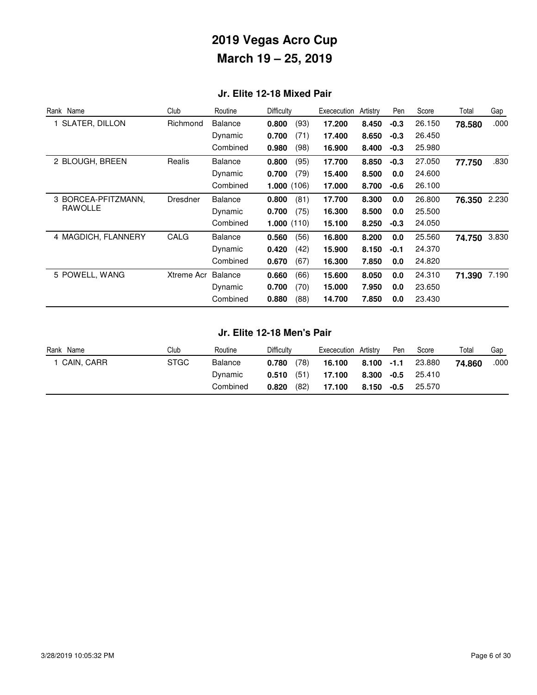## **Jr. Elite 12-18 Mixed Pair**

| Rank Name             | Club       | Routine        | <b>Difficulty</b> | Exececution | Artistry | Pen    | Score  | Total  | Gap   |
|-----------------------|------------|----------------|-------------------|-------------|----------|--------|--------|--------|-------|
| <b>SLATER, DILLON</b> | Richmond   | <b>Balance</b> | (93)<br>0.800     | 17.200      | 8.450    | $-0.3$ | 26.150 | 78.580 | .000  |
|                       |            | Dynamic        | 0.700<br>(71)     | 17.400      | 8.650    | $-0.3$ | 26.450 |        |       |
|                       |            | Combined       | (98)<br>0.980     | 16.900      | 8.400    | $-0.3$ | 25.980 |        |       |
| 2 BLOUGH, BREEN       | Realis     | <b>Balance</b> | 0.800<br>(95)     | 17.700      | 8.850    | $-0.3$ | 27.050 | 77.750 | .830  |
|                       |            | Dynamic        | (79)<br>0.700     | 15.400      | 8.500    | 0.0    | 24.600 |        |       |
|                       |            | Combined       | 1.000(106)        | 17.000      | 8.700    | $-0.6$ | 26.100 |        |       |
| 3 BORCEA-PFITZMANN,   | Dresdner   | <b>Balance</b> | 0.800<br>(81)     | 17.700      | 8.300    | 0.0    | 26.800 | 76.350 | 2.230 |
| RAWOLLE               |            | Dynamic        | 0.700<br>(75)     | 16.300      | 8.500    | 0.0    | 25.500 |        |       |
|                       |            | Combined       | 1.000(110)        | 15.100      | 8.250    | $-0.3$ | 24.050 |        |       |
| 4 MAGDICH, FLANNERY   | CALG       | <b>Balance</b> | (56)<br>0.560     | 16.800      | 8.200    | 0.0    | 25.560 | 74.750 | 3.830 |
|                       |            | Dynamic        | 0.420<br>(42)     | 15.900      | 8.150    | $-0.1$ | 24.370 |        |       |
|                       |            | Combined       | 0.670<br>(67)     | 16.300      | 7.850    | 0.0    | 24.820 |        |       |
| 5 POWELL, WANG        | Xtreme Acr | Balance        | 0.660<br>(66)     | 15.600      | 8.050    | 0.0    | 24.310 | 71.390 | 7.190 |
|                       |            | Dynamic        | (70)<br>0.700     | 15.000      | 7.950    | 0.0    | 23.650 |        |       |
|                       |            | Combined       | (88)<br>0.880     | 14.700      | 7.850    | 0.0    | 23.430 |        |       |

#### **Jr. Elite 12-18 Men's Pair**

| Name<br>Rank | Club        | Routine  | Difficulty    | Exececution Artistry | Pen           | Score  | Total  | Gap  |
|--------------|-------------|----------|---------------|----------------------|---------------|--------|--------|------|
| CAIN, CARR   | <b>STGC</b> | Balance  | (78)<br>0.780 | 16.100               | $8.100 - 1.1$ | 23.880 | 74.860 | .000 |
|              |             | Dynamic  | (51)<br>0.510 | 17.100               | 8.300 -0.5    | 25.410 |        |      |
|              |             | Combined | (82)<br>0.820 | 17.100               | 8.150 -0.5    | 25.570 |        |      |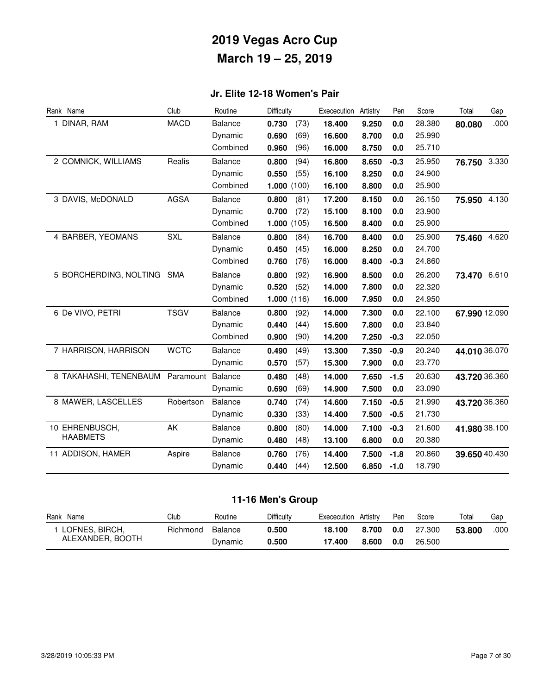## **Jr. Elite 12-18 Women's Pair**

| Rank Name                  | Club        | Routine        | <b>Difficulty</b> | Exececution | Artistry | Pen    | Score  | Total         | Gap   |
|----------------------------|-------------|----------------|-------------------|-------------|----------|--------|--------|---------------|-------|
| 1 DINAR, RAM               | <b>MACD</b> | Balance        | 0.730<br>(73)     | 18.400      | 9.250    | 0.0    | 28.380 | 80.080        | .000  |
|                            |             | Dynamic        | 0.690<br>(69)     | 16.600      | 8.700    | 0.0    | 25.990 |               |       |
|                            |             | Combined       | (96)<br>0.960     | 16.000      | 8.750    | 0.0    | 25.710 |               |       |
| 2 COMNICK, WILLIAMS        | Realis      | <b>Balance</b> | 0.800<br>(94)     | 16.800      | 8.650    | $-0.3$ | 25.950 | 76.750 3.330  |       |
|                            |             | Dynamic        | 0.550<br>(55)     | 16.100      | 8.250    | 0.0    | 24.900 |               |       |
|                            |             | Combined       | 1.000(100)        | 16.100      | 8.800    | 0.0    | 25.900 |               |       |
| 3 DAVIS, McDONALD          | <b>AGSA</b> | Balance        | 0.800<br>(81)     | 17.200      | 8.150    | 0.0    | 26.150 | 75.950        | 4.130 |
|                            |             | Dynamic        | 0.700<br>(72)     | 15.100      | 8.100    | 0.0    | 23.900 |               |       |
|                            |             | Combined       | 1.000(105)        | 16.500      | 8.400    | 0.0    | 25.900 |               |       |
| 4 BARBER, YEOMANS          | <b>SXL</b>  | Balance        | 0.800<br>(84)     | 16.700      | 8.400    | 0.0    | 25.900 | 75.460        | 4.620 |
|                            |             | Dynamic        | 0.450<br>(45)     | 16.000      | 8.250    | 0.0    | 24.700 |               |       |
|                            |             | Combined       | 0.760<br>(76)     | 16.000      | 8.400    | $-0.3$ | 24.860 |               |       |
| 5 BORCHERDING, NOLTING SMA |             | <b>Balance</b> | 0.800<br>(92)     | 16.900      | 8.500    | 0.0    | 26.200 | 73.470 6.610  |       |
|                            |             | Dynamic        | 0.520<br>(52)     | 14.000      | 7.800    | 0.0    | 22.320 |               |       |
|                            |             | Combined       | 1.000(116)        | 16.000      | 7.950    | 0.0    | 24.950 |               |       |
| 6 De VIVO, PETRI           | <b>TSGV</b> | <b>Balance</b> | 0.800<br>(92)     | 14.000      | 7.300    | 0.0    | 22.100 | 67.990 12.090 |       |
|                            |             | Dynamic        | (44)<br>0.440     | 15.600      | 7.800    | 0.0    | 23.840 |               |       |
|                            |             | Combined       | 0.900<br>(90)     | 14.200      | 7.250    | $-0.3$ | 22.050 |               |       |
| 7 HARRISON, HARRISON       | <b>WCTC</b> | <b>Balance</b> | 0.490<br>(49)     | 13.300      | 7.350    | $-0.9$ | 20.240 | 44.010 36.070 |       |
|                            |             | Dynamic        | 0.570<br>(57)     | 15.300      | 7.900    | 0.0    | 23.770 |               |       |
| 8 TAKAHASHI, TENENBAUM     | Paramount   | <b>Balance</b> | 0.480<br>(48)     | 14.000      | 7.650    | $-1.5$ | 20.630 | 43.720 36.360 |       |
|                            |             | Dynamic        | 0.690<br>(69)     | 14.900      | 7.500    | 0.0    | 23.090 |               |       |
| 8 MAWER, LASCELLES         | Robertson   | <b>Balance</b> | 0.740<br>(74)     | 14.600      | 7.150    | $-0.5$ | 21.990 | 43.720 36.360 |       |
|                            |             | Dynamic        | (33)<br>0.330     | 14.400      | 7.500    | $-0.5$ | 21.730 |               |       |
| 10 EHRENBUSCH,             | AK          | <b>Balance</b> | 0.800<br>(80)     | 14.000      | 7.100    | $-0.3$ | 21.600 | 41.980 38.100 |       |
| <b>HAABMETS</b>            |             | Dynamic        | 0.480<br>(48)     | 13.100      | 6.800    | 0.0    | 20.380 |               |       |
| 11 ADDISON, HAMER          | Aspire      | <b>Balance</b> | 0.760<br>(76)     | 14.400      | 7.500    | $-1.8$ | 20.860 | 39.650 40.430 |       |
|                            |             | Dynamic        | (44)<br>0.440     | 12.500      | 6.850    | $-1.0$ | 18.790 |               |       |

## **11-16 Men's Group**

| Rank<br>Name     | Club     | Routine | Difficulty | Exececution | Artistry | Pen | Score  | Total  | Gap  |
|------------------|----------|---------|------------|-------------|----------|-----|--------|--------|------|
| LOFNES, BIRCH,   | Richmond | Balance | 0.500      | 18.100      | 8.700    | 0.0 | 27,300 | 53.800 | .000 |
| ALEXANDER, BOOTH |          | Dvnamic | 0.500      | 17.400      | 8.600    | 0.0 | 26.500 |        |      |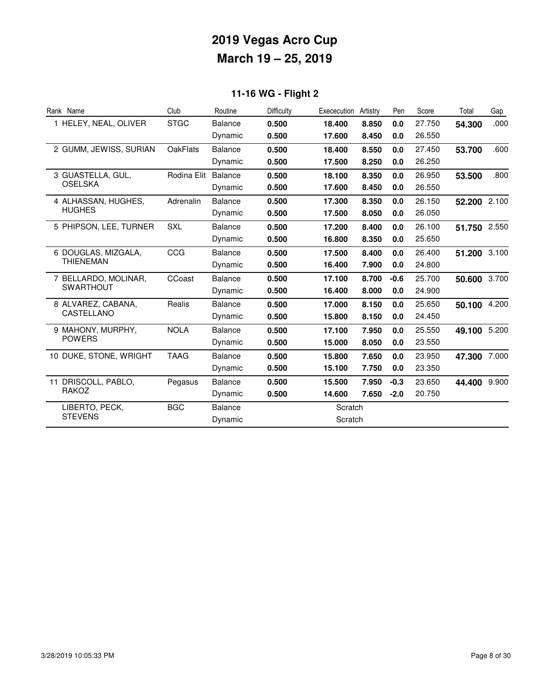## **11-16 WG - Flight 2**

| Rank Name              | Club            | Routine        | Difficulty | Exececution | Artistry | Pen    | Score  | Total        | Gap   |
|------------------------|-----------------|----------------|------------|-------------|----------|--------|--------|--------------|-------|
| 1 HELEY, NEAL, OLIVER  | <b>STGC</b>     | Balance        | 0.500      | 18.400      | 8.850    | 0.0    | 27.750 | 54.300       | .000  |
|                        |                 | Dynamic        | 0.500      | 17.600      | 8.450    | 0.0    | 26.550 |              |       |
| 2 GUMM, JEWISS, SURIAN | <b>OakFlats</b> | Balance        | 0.500      | 18.400      | 8.550    | 0.0    | 27.450 | 53.700       | .600  |
|                        |                 | Dynamic        | 0.500      | 17.500      | 8.250    | 0.0    | 26.250 |              |       |
| 3 GUASTELLA, GUL,      | Rodina Elit     | Balance        | 0.500      | 18.100      | 8.350    | 0.0    | 26.950 | 53.500       | .800  |
| <b>OSELSKA</b>         |                 | Dynamic        | 0.500      | 17.600      | 8.450    | 0.0    | 26.550 |              |       |
| 4 ALHASSAN, HUGHES,    | Adrenalin       | <b>Balance</b> | 0.500      | 17.300      | 8.350    | 0.0    | 26.150 | 52.200 2.100 |       |
| <b>HUGHES</b>          |                 | Dynamic        | 0.500      | 17.500      | 8.050    | 0.0    | 26.050 |              |       |
| 5 PHIPSON, LEE, TURNER | <b>SXL</b>      | <b>Balance</b> | 0.500      | 17.200      | 8.400    | 0.0    | 26.100 | 51.750 2.550 |       |
|                        |                 | Dynamic        | 0.500      | 16.800      | 8.350    | 0.0    | 25.650 |              |       |
| 6 DOUGLAS, MIZGALA,    | CCG             | Balance        | 0.500      | 17.500      | 8.400    | 0.0    | 26.400 | 51.200 3.100 |       |
| THIENEMAN              |                 | Dynamic        | 0.500      | 16.400      | 7.900    | 0.0    | 24.800 |              |       |
| 7 BELLARDO, MOLINAR,   | CCoast          | Balance        | 0.500      | 17.100      | 8.700    | $-0.6$ | 25.700 | 50.600       | 3.700 |
| <b>SWARTHOUT</b>       |                 | Dynamic        | 0.500      | 16.400      | 8.000    | 0.0    | 24.900 |              |       |
| 8 ALVAREZ, CABANA,     | Realis          | <b>Balance</b> | 0.500      | 17.000      | 8.150    | 0.0    | 25.650 | 50.100       | 4.200 |
| CASTELLANO             |                 | Dynamic        | 0.500      | 15.800      | 8.150    | 0.0    | 24.450 |              |       |
| 9 MAHONY, MURPHY,      | <b>NOLA</b>     | <b>Balance</b> | 0.500      | 17.100      | 7.950    | 0.0    | 25.550 | 49.100 5.200 |       |
| <b>POWERS</b>          |                 | Dynamic        | 0.500      | 15.000      | 8.050    | 0.0    | 23.550 |              |       |
| 10 DUKE, STONE, WRIGHT | <b>TAAG</b>     | <b>Balance</b> | 0.500      | 15.800      | 7.650    | 0.0    | 23.950 | 47.300       | 7.000 |
|                        |                 | Dynamic        | 0.500      | 15.100      | 7.750    | 0.0    | 23.350 |              |       |
| 11 DRISCOLL, PABLO,    | Pegasus         | <b>Balance</b> | 0.500      | 15.500      | 7.950    | $-0.3$ | 23.650 | 44.400 9.900 |       |
| RAKOZ                  |                 | Dynamic        | 0.500      | 14.600      | 7.650    | $-2.0$ | 20.750 |              |       |
| LIBERTO, PECK,         | <b>BGC</b>      | <b>Balance</b> |            | Scratch     |          |        |        |              |       |
| <b>STEVENS</b>         |                 | Dynamic        |            | Scratch     |          |        |        |              |       |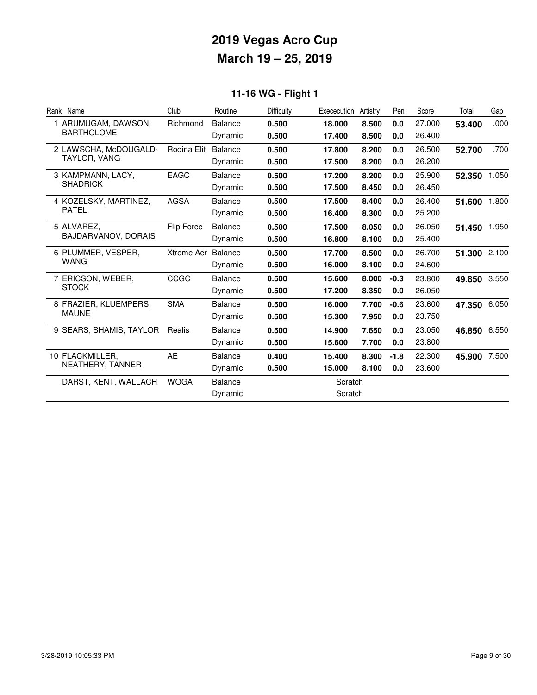## **11-16 WG - Flight 1**

| Rank Name               | Club        | Routine        | Difficulty | Exececution | Artistry | Pen    | Score  | Total  | Gap   |
|-------------------------|-------------|----------------|------------|-------------|----------|--------|--------|--------|-------|
| 1 ARUMUGAM, DAWSON,     | Richmond    | <b>Balance</b> | 0.500      | 18.000      | 8.500    | 0.0    | 27.000 | 53.400 | .000  |
| <b>BARTHOLOME</b>       |             | Dynamic        | 0.500      | 17.400      | 8.500    | 0.0    | 26.400 |        |       |
| 2 LAWSCHA, McDOUGALD-   | Rodina Elit | <b>Balance</b> | 0.500      | 17.800      | 8.200    | 0.0    | 26.500 | 52.700 | .700  |
| TAYLOR, VANG            |             | Dynamic        | 0.500      | 17.500      | 8.200    | 0.0    | 26.200 |        |       |
| 3 KAMPMANN, LACY,       | <b>EAGC</b> | <b>Balance</b> | 0.500      | 17.200      | 8.200    | 0.0    | 25.900 | 52.350 | 1.050 |
| <b>SHADRICK</b>         |             | Dynamic        | 0.500      | 17.500      | 8.450    | 0.0    | 26.450 |        |       |
| 4 KOZELSKY, MARTINEZ,   | <b>AGSA</b> | Balance        | 0.500      | 17.500      | 8.400    | 0.0    | 26.400 | 51.600 | 1.800 |
| <b>PATEL</b>            |             | Dynamic        | 0.500      | 16.400      | 8.300    | 0.0    | 25.200 |        |       |
| 5 ALVAREZ.              | Flip Force  | <b>Balance</b> | 0.500      | 17.500      | 8.050    | 0.0    | 26.050 | 51.450 | 1.950 |
| BAJDARVANOV, DORAIS     |             | Dynamic        | 0.500      | 16.800      | 8.100    | 0.0    | 25.400 |        |       |
| 6 PLUMMER, VESPER,      | Xtreme Acr  | Balance        | 0.500      | 17.700      | 8.500    | 0.0    | 26.700 | 51.300 | 2.100 |
| WANG                    |             | Dynamic        | 0.500      | 16.000      | 8.100    | 0.0    | 24.600 |        |       |
| 7 ERICSON, WEBER,       | CCGC        | <b>Balance</b> | 0.500      | 15.600      | 8.000    | $-0.3$ | 23,800 | 49.850 | 3.550 |
| <b>STOCK</b>            |             | Dynamic        | 0.500      | 17.200      | 8.350    | 0.0    | 26.050 |        |       |
| 8 FRAZIER, KLUEMPERS,   | <b>SMA</b>  | <b>Balance</b> | 0.500      | 16.000      | 7.700    | $-0.6$ | 23.600 | 47.350 | 6.050 |
| <b>MAUNE</b>            |             | Dynamic        | 0.500      | 15.300      | 7.950    | 0.0    | 23.750 |        |       |
| 9 SEARS, SHAMIS, TAYLOR | Realis      | <b>Balance</b> | 0.500      | 14.900      | 7.650    | 0.0    | 23.050 | 46.850 | 6.550 |
|                         |             | Dynamic        | 0.500      | 15.600      | 7.700    | 0.0    | 23.800 |        |       |
| 10 FLACKMILLER,         | AE          | <b>Balance</b> | 0.400      | 15.400      | 8.300    | $-1.8$ | 22,300 | 45.900 | 7.500 |
| NEATHERY, TANNER        |             | Dynamic        | 0.500      | 15.000      | 8.100    | 0.0    | 23.600 |        |       |
| DARST, KENT, WALLACH    | <b>WOGA</b> | <b>Balance</b> |            | Scratch     |          |        |        |        |       |
|                         |             | Dynamic        |            | Scratch     |          |        |        |        |       |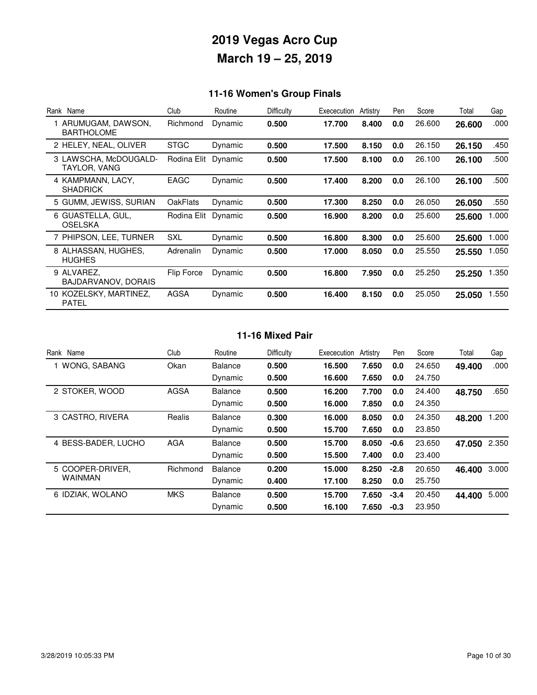## **11-16 Women's Group Finals**

| Rank Name                              | Club            | Routine | Difficulty | Exececution | Artistry | Pen | Score  | Total  | Gap   |
|----------------------------------------|-----------------|---------|------------|-------------|----------|-----|--------|--------|-------|
| ARUMUGAM, DAWSON,<br><b>BARTHOLOME</b> | Richmond        | Dynamic | 0.500      | 17.700      | 8.400    | 0.0 | 26.600 | 26.600 | .000  |
| 2 HELEY, NEAL, OLIVER                  | <b>STGC</b>     | Dynamic | 0.500      | 17.500      | 8.150    | 0.0 | 26.150 | 26.150 | .450  |
| 3 LAWSCHA, McDOUGALD-<br>TAYLOR, VANG  | Rodina Elit     | Dynamic | 0.500      | 17.500      | 8.100    | 0.0 | 26.100 | 26.100 | .500  |
| 4 KAMPMANN, LACY,<br><b>SHADRICK</b>   | EAGC            | Dynamic | 0.500      | 17.400      | 8.200    | 0.0 | 26.100 | 26.100 | .500  |
| 5 GUMM, JEWISS, SURIAN                 | <b>OakFlats</b> | Dynamic | 0.500      | 17.300      | 8.250    | 0.0 | 26.050 | 26,050 | .550  |
| 6 GUASTELLA, GUL,<br>OSELSKA           | Rodina Elit     | Dynamic | 0.500      | 16.900      | 8.200    | 0.0 | 25.600 | 25.600 | 1.000 |
| 7 PHIPSON, LEE, TURNER                 | SXL             | Dynamic | 0.500      | 16.800      | 8.300    | 0.0 | 25.600 | 25,600 | 1.000 |
| 8 ALHASSAN, HUGHES,<br><b>HUGHES</b>   | Adrenalin       | Dynamic | 0.500      | 17.000      | 8.050    | 0.0 | 25.550 | 25.550 | 1.050 |
| 9 ALVAREZ.<br>BAJDARVANOV, DORAIS      | Flip Force      | Dynamic | 0.500      | 16.800      | 7.950    | 0.0 | 25.250 | 25.250 | 1.350 |
| 10 KOZELSKY, MARTINEZ,<br><b>PATEL</b> | AGSA            | Dynamic | 0.500      | 16.400      | 8.150    | 0.0 | 25.050 | 25,050 | 1.550 |

#### **11-16 Mixed Pair**

| Rank<br>Name        | Club        | Routine        | Difficulty | Exececution | Artistry | Pen    | Score  | Total  | Gap   |
|---------------------|-------------|----------------|------------|-------------|----------|--------|--------|--------|-------|
| 1 WONG, SABANG      | Okan        | <b>Balance</b> | 0.500      | 16.500      | 7.650    | 0.0    | 24.650 | 49.400 | .000  |
|                     |             | Dynamic        | 0.500      | 16.600      | 7.650    | 0.0    | 24.750 |        |       |
| 2 STOKER, WOOD      | <b>AGSA</b> | <b>Balance</b> | 0.500      | 16.200      | 7.700    | 0.0    | 24.400 | 48.750 | .650  |
|                     |             | Dynamic        | 0.500      | 16.000      | 7.850    | 0.0    | 24.350 |        |       |
| 3 CASTRO, RIVERA    | Realis      | <b>Balance</b> | 0.300      | 16.000      | 8.050    | 0.0    | 24.350 | 48.200 | .200  |
|                     |             | Dynamic        | 0.500      | 15.700      | 7.650    | 0.0    | 23,850 |        |       |
| 4 BESS-BADER, LUCHO | <b>AGA</b>  | <b>Balance</b> | 0.500      | 15.700      | 8.050    | $-0.6$ | 23.650 | 47.050 | 2.350 |
|                     |             | Dynamic        | 0.500      | 15.500      | 7.400    | 0.0    | 23,400 |        |       |
| 5 COOPER-DRIVER.    | Richmond    | <b>Balance</b> | 0.200      | 15.000      | 8.250    | $-2.8$ | 20.650 | 46.400 | 3.000 |
| WAINMAN             |             | Dynamic        | 0.400      | 17.100      | 8.250    | 0.0    | 25.750 |        |       |
| 6 IDZIAK, WOLANO    | <b>MKS</b>  | <b>Balance</b> | 0.500      | 15.700      | 7.650    | $-3.4$ | 20.450 | 44.400 | 5.000 |
|                     |             | Dynamic        | 0.500      | 16.100      | 7.650    | $-0.3$ | 23.950 |        |       |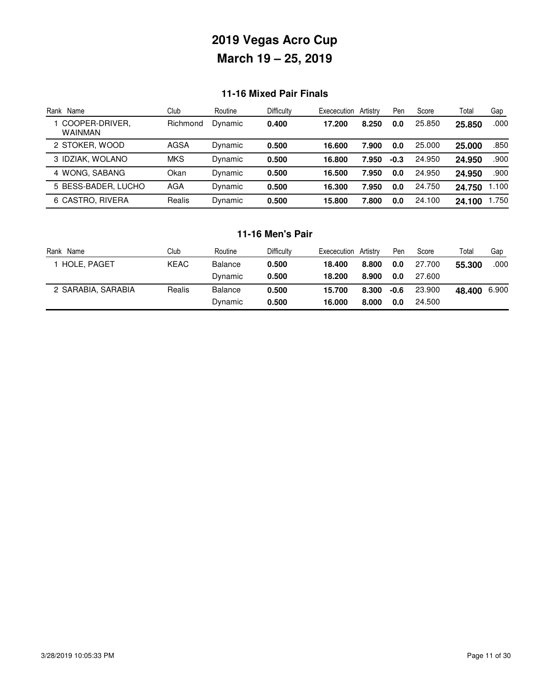### **11-16 Mixed Pair Finals**

| Rank<br>Name                | Club       | Routine | Difficulty | Exececution | Artistry | Pen    | Score  | Total  | Gap   |
|-----------------------------|------------|---------|------------|-------------|----------|--------|--------|--------|-------|
| I COOPER-DRIVER,<br>WAINMAN | Richmond   | Dynamic | 0.400      | 17.200      | 8.250    | 0.0    | 25.850 | 25.850 | .000  |
| 2 STOKER, WOOD              | AGSA       | Dynamic | 0.500      | 16.600      | 7.900    | 0.0    | 25.000 | 25.000 | .850  |
| 3 IDZIAK, WOLANO            | <b>MKS</b> | Dynamic | 0.500      | 16.800      | 7.950    | $-0.3$ | 24.950 | 24.950 | .900  |
| 4 WONG, SABANG              | Okan       | Dynamic | 0.500      | 16.500      | 7.950    | 0.0    | 24.950 | 24.950 | .900  |
| 5 BESS-BADER, LUCHO         | AGA        | Dynamic | 0.500      | 16.300      | 7.950    | 0.0    | 24.750 | 24.750 | 1.100 |
| 6 CASTRO, RIVERA            | Realis     | Dynamic | 0.500      | 15.800      | 7.800    | 0.0    | 24.100 | 24.100 | 1.750 |

### **11-16 Men's Pair**

| Rank<br>Name       | Club   | Routine        | Difficulty | Artistry<br>Exececution | Pen  | Score  | Total  | Gap   |
|--------------------|--------|----------------|------------|-------------------------|------|--------|--------|-------|
| <b>HOLE, PAGET</b> | KEAC   | <b>Balance</b> | 0.500      | 18.400<br>8.800         | 0.0  | 27.700 | 55.300 | .000  |
|                    |        | Dynamic        | 0.500      | 18.200<br>8.900         | 0.0  | 27.600 |        |       |
| 2 SARABIA, SARABIA | Realis | Balance        | 0.500      | 8.300<br>15.700         | -0.6 | 23,900 | 48.400 | 6.900 |
|                    |        | Dynamic        | 0.500      | 16.000<br>8.000         | 0.0  | 24.500 |        |       |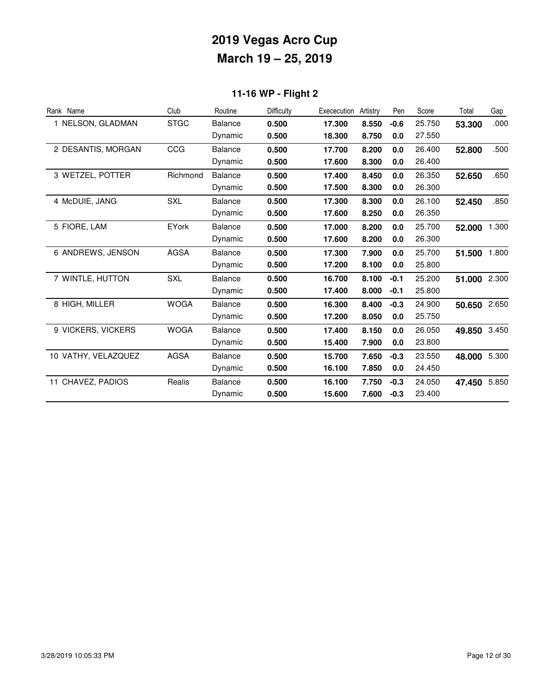## **11-16 WP - Flight 2**

| Rank Name           | Club         | Routine        | <b>Difficulty</b> | Exececution | Artistry | Pen    | Score  | Total  | Gap   |
|---------------------|--------------|----------------|-------------------|-------------|----------|--------|--------|--------|-------|
| 1 NELSON, GLADMAN   | <b>STGC</b>  | <b>Balance</b> | 0.500             | 17.300      | 8.550    | $-0.6$ | 25.750 | 53.300 | .000  |
|                     |              | Dynamic        | 0.500             | 18.300      | 8.750    | 0.0    | 27.550 |        |       |
| 2 DESANTIS, MORGAN  | CCG          | Balance        | 0.500             | 17.700      | 8.200    | 0.0    | 26.400 | 52.800 | .500  |
|                     |              | Dynamic        | 0.500             | 17.600      | 8.300    | 0.0    | 26.400 |        |       |
| 3 WETZEL, POTTER    | Richmond     | <b>Balance</b> | 0.500             | 17.400      | 8.450    | 0.0    | 26.350 | 52.650 | .650  |
|                     |              | Dynamic        | 0.500             | 17.500      | 8.300    | 0.0    | 26.300 |        |       |
| 4 McDUIE, JANG      | <b>SXL</b>   | Balance        | 0.500             | 17.300      | 8.300    | 0.0    | 26.100 | 52.450 | .850  |
|                     |              | Dynamic        | 0.500             | 17.600      | 8.250    | 0.0    | 26.350 |        |       |
| 5 FIORE, LAM        | <b>EYork</b> | <b>Balance</b> | 0.500             | 17.000      | 8.200    | 0.0    | 25.700 | 52.000 | 1.300 |
|                     |              | Dynamic        | 0.500             | 17.600      | 8.200    | 0.0    | 26.300 |        |       |
| 6 ANDREWS, JENSON   | <b>AGSA</b>  | <b>Balance</b> | 0.500             | 17.300      | 7.900    | 0.0    | 25.700 | 51.500 | 1.800 |
|                     |              | Dynamic        | 0.500             | 17.200      | 8.100    | 0.0    | 25.800 |        |       |
| 7 WINTLE, HUTTON    | <b>SXL</b>   | <b>Balance</b> | 0.500             | 16.700      | 8.100    | $-0.1$ | 25.200 | 51.000 | 2.300 |
|                     |              | Dynamic        | 0.500             | 17.400      | 8.000    | $-0.1$ | 25.800 |        |       |
| 8 HIGH, MILLER      | <b>WOGA</b>  | <b>Balance</b> | 0.500             | 16.300      | 8.400    | $-0.3$ | 24.900 | 50.650 | 2.650 |
|                     |              | Dynamic        | 0.500             | 17.200      | 8.050    | 0.0    | 25.750 |        |       |
| 9 VICKERS, VICKERS  | <b>WOGA</b>  | <b>Balance</b> | 0.500             | 17.400      | 8.150    | 0.0    | 26.050 | 49.850 | 3.450 |
|                     |              | Dynamic        | 0.500             | 15.400      | 7.900    | 0.0    | 23.800 |        |       |
| 10 VATHY, VELAZQUEZ | <b>AGSA</b>  | <b>Balance</b> | 0.500             | 15.700      | 7.650    | $-0.3$ | 23.550 | 48.000 | 5.300 |
|                     |              | Dynamic        | 0.500             | 16.100      | 7.850    | 0.0    | 24.450 |        |       |
| 11 CHAVEZ, PADIOS   | Realis       | <b>Balance</b> | 0.500             | 16.100      | 7.750    | $-0.3$ | 24.050 | 47.450 | 5.850 |
|                     |              | Dynamic        | 0.500             | 15.600      | 7.600    | $-0.3$ | 23.400 |        |       |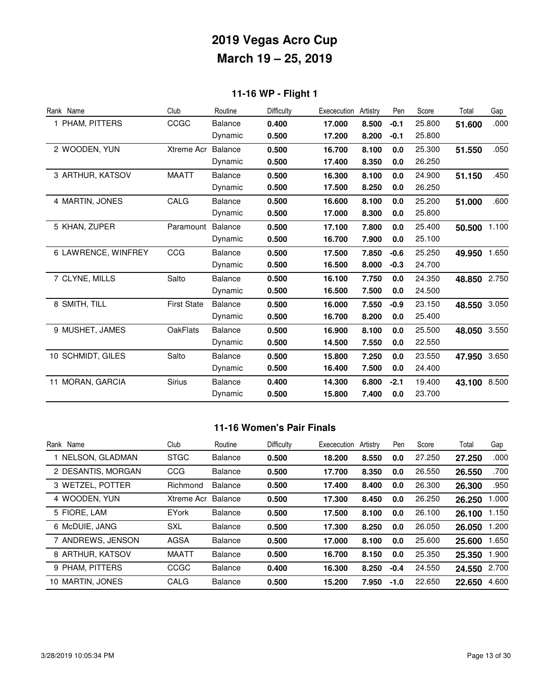## **11-16 WP - Flight 1**

| Rank Name           | Club               | Routine        | Difficulty | Exececution | Artistry | Pen    | Score  | Total  | Gap   |
|---------------------|--------------------|----------------|------------|-------------|----------|--------|--------|--------|-------|
| 1 PHAM, PITTERS     | CCGC               | <b>Balance</b> | 0.400      | 17.000      | 8.500    | $-0.1$ | 25.800 | 51.600 | .000  |
|                     |                    | Dynamic        | 0.500      | 17.200      | 8.200    | $-0.1$ | 25.800 |        |       |
| 2 WOODEN, YUN       | <b>Xtreme Acr</b>  | <b>Balance</b> | 0.500      | 16.700      | 8.100    | 0.0    | 25.300 | 51.550 | .050  |
|                     |                    | Dynamic        | 0.500      | 17.400      | 8.350    | 0.0    | 26.250 |        |       |
| 3 ARTHUR, KATSOV    | <b>MAATT</b>       | <b>Balance</b> | 0.500      | 16.300      | 8.100    | 0.0    | 24.900 | 51.150 | .450  |
|                     |                    | Dynamic        | 0.500      | 17.500      | 8.250    | 0.0    | 26.250 |        |       |
| 4 MARTIN, JONES     | CALG               | <b>Balance</b> | 0.500      | 16.600      | 8.100    | 0.0    | 25.200 | 51.000 | .600  |
|                     |                    | Dynamic        | 0.500      | 17.000      | 8.300    | 0.0    | 25.800 |        |       |
| 5 KHAN, ZUPER       | Paramount          | <b>Balance</b> | 0.500      | 17.100      | 7.800    | 0.0    | 25.400 | 50.500 | 1.100 |
|                     |                    | Dynamic        | 0.500      | 16.700      | 7.900    | 0.0    | 25.100 |        |       |
| 6 LAWRENCE, WINFREY | CCG                | <b>Balance</b> | 0.500      | 17.500      | 7.850    | $-0.6$ | 25.250 | 49.950 | 1.650 |
|                     |                    | Dynamic        | 0.500      | 16.500      | 8.000    | $-0.3$ | 24.700 |        |       |
| 7 CLYNE, MILLS      | Salto              | <b>Balance</b> | 0.500      | 16.100      | 7.750    | 0.0    | 24.350 | 48.850 | 2.750 |
|                     |                    | Dynamic        | 0.500      | 16.500      | 7.500    | 0.0    | 24.500 |        |       |
| 8 SMITH, TILL       | <b>First State</b> | <b>Balance</b> | 0.500      | 16.000      | 7.550    | $-0.9$ | 23.150 | 48.550 | 3.050 |
|                     |                    | Dynamic        | 0.500      | 16.700      | 8.200    | 0.0    | 25.400 |        |       |
| 9 MUSHET, JAMES     | <b>OakFlats</b>    | <b>Balance</b> | 0.500      | 16.900      | 8.100    | 0.0    | 25.500 | 48.050 | 3.550 |
|                     |                    | Dynamic        | 0.500      | 14.500      | 7.550    | 0.0    | 22.550 |        |       |
| 10 SCHMIDT, GILES   | Salto              | <b>Balance</b> | 0.500      | 15,800      | 7.250    | 0.0    | 23.550 | 47.950 | 3.650 |
|                     |                    | Dynamic        | 0.500      | 16.400      | 7.500    | 0.0    | 24.400 |        |       |
| 11 MORAN, GARCIA    | <b>Sirius</b>      | <b>Balance</b> | 0.400      | 14.300      | 6.800    | $-2.1$ | 19.400 | 43.100 | 8.500 |
|                     |                    | Dynamic        | 0.500      | 15.800      | 7.400    | 0.0    | 23.700 |        |       |

#### **11-16 Women's Pair Finals**

| Rank Name          | Club         | Routine        | Difficulty | Exececution | Artistry | Pen    | Score  | Total  | Gap   |
|--------------------|--------------|----------------|------------|-------------|----------|--------|--------|--------|-------|
| 1 NELSON, GLADMAN  | <b>STGC</b>  | <b>Balance</b> | 0.500      | 18.200      | 8.550    | 0.0    | 27.250 | 27.250 | .000  |
| 2 DESANTIS, MORGAN | CCG          | <b>Balance</b> | 0.500      | 17.700      | 8.350    | 0.0    | 26.550 | 26.550 | .700  |
| 3 WETZEL, POTTER   | Richmond     | Balance        | 0.500      | 17.400      | 8.400    | 0.0    | 26,300 | 26.300 | .950  |
| 4 WOODEN, YUN      | Xtreme Acr   | Balance        | 0.500      | 17.300      | 8.450    | 0.0    | 26.250 | 26,250 | 1.000 |
| 5 FIORE, LAM       | <b>EYork</b> | <b>Balance</b> | 0.500      | 17.500      | 8.100    | 0.0    | 26.100 | 26.100 | 1.150 |
| 6 McDUIE, JANG     | <b>SXL</b>   | <b>Balance</b> | 0.500      | 17.300      | 8.250    | 0.0    | 26.050 | 26,050 | 1.200 |
| 7 ANDREWS, JENSON  | <b>AGSA</b>  | <b>Balance</b> | 0.500      | 17.000      | 8.100    | 0.0    | 25,600 | 25.600 | 1.650 |
| 8 ARTHUR, KATSOV   | <b>MAATT</b> | <b>Balance</b> | 0.500      | 16.700      | 8.150    | 0.0    | 25.350 | 25.350 | 1.900 |
| 9 PHAM. PITTERS    | CCGC         | <b>Balance</b> | 0.400      | 16.300      | 8.250    | $-0.4$ | 24.550 | 24.550 | 2.700 |
| 10 MARTIN, JONES   | CALG         | <b>Balance</b> | 0.500      | 15.200      | 7.950    | $-1.0$ | 22.650 | 22.650 | 4.600 |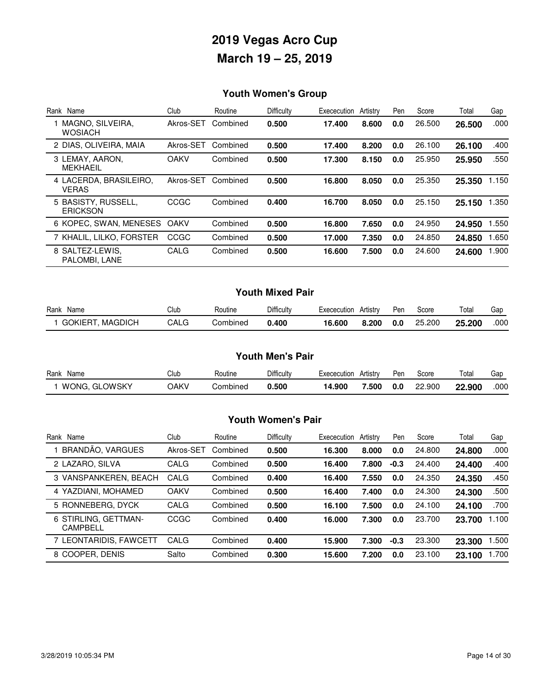## **Youth Women's Group**

| Name<br>Rank                           | Club        | Routine  | Difficulty | Exececution | Artistry | Pen | Score  | Total  | Gap   |
|----------------------------------------|-------------|----------|------------|-------------|----------|-----|--------|--------|-------|
| MAGNO, SILVEIRA,<br><b>WOSIACH</b>     | Akros-SET   | Combined | 0.500      | 17.400      | 8.600    | 0.0 | 26.500 | 26.500 | .000  |
| 2 DIAS, OLIVEIRA, MAIA                 | Akros-SET   | Combined | 0.500      | 17.400      | 8.200    | 0.0 | 26.100 | 26.100 | .400  |
| 3 LEMAY, AARON,<br><b>MEKHAEIL</b>     | <b>OAKV</b> | Combined | 0.500      | 17.300      | 8.150    | 0.0 | 25.950 | 25.950 | .550  |
| 4 LACERDA, BRASILEIRO,<br><b>VERAS</b> | Akros-SET   | Combined | 0.500      | 16.800      | 8.050    | 0.0 | 25.350 | 25.350 | 1.150 |
| 5 BASISTY, RUSSELL,<br><b>ERICKSON</b> | CCGC        | Combined | 0.400      | 16.700      | 8.050    | 0.0 | 25.150 | 25.150 | 1.350 |
| 6 KOPEC, SWAN, MENESES                 | <b>OAKV</b> | Combined | 0.500      | 16.800      | 7.650    | 0.0 | 24.950 | 24.950 | 1.550 |
| 7 KHALIL, LILKO, FORSTER               | CCGC        | Combined | 0.500      | 17.000      | 7.350    | 0.0 | 24.850 | 24.850 | 1.650 |
| 8 SALTEZ-LEWIS.<br>PALOMBI, LANE       | CALG        | Combined | 0.500      | 16.600      | 7.500    | 0.0 | 24.600 | 24.600 | 1.900 |

#### **Youth Mixed Pair**

| Rank<br>Name               | Club | Routine  | Difficulty | Exececution | Artistry | Pen | Score  | Total  | Gac  |
|----------------------------|------|----------|------------|-------------|----------|-----|--------|--------|------|
| MAGDICH<br><b>GOKIERT.</b> | CALG | Combined | 0.400      | 16.600      | 8.200    | 0.0 | 25,200 | 25.200 | .000 |

#### **Youth Men's Pair**

| Rank<br>Name          | Club        | Routine  | Difficulty | <b>EXECAL</b><br>cecution | Artistry | Pen | Score            | Total  | Gar  |
|-----------------------|-------------|----------|------------|---------------------------|----------|-----|------------------|--------|------|
| _OWSKY<br>WONG.<br>GL | <b>JAKV</b> | Combined | 0.500      | 14.900                    | '.500    | 0.0 | 22.900<br>$\sim$ | 22.900 | .000 |

#### **Youth Women's Pair**

| Rank Name                               | Club        | Routine  | Difficulty | Exececution | Artistry | Pen    | Score  | Total  | Gap   |
|-----------------------------------------|-------------|----------|------------|-------------|----------|--------|--------|--------|-------|
| BRANDÃO, VARGUES                        | Akros-SET   | Combined | 0.500      | 16.300      | 8.000    | 0.0    | 24.800 | 24.800 | .000  |
| 2 LAZARO, SILVA                         | CALG        | Combined | 0.500      | 16.400      | 7.800    | $-0.3$ | 24.400 | 24.400 | .400  |
| 3 VANSPANKEREN, BEACH                   | CALG        | Combined | 0.400      | 16.400      | 7.550    | 0.0    | 24.350 | 24.350 | .450  |
| 4 YAZDIANI, MOHAMED                     | <b>OAKV</b> | Combined | 0.500      | 16.400      | 7.400    | 0.0    | 24.300 | 24.300 | .500  |
| 5 RONNEBERG, DYCK                       | CALG        | Combined | 0.500      | 16.100      | 7.500    | 0.0    | 24.100 | 24.100 | .700  |
| 6 STIRLING, GETTMAN-<br><b>CAMPBELL</b> | CCGC        | Combined | 0.400      | 16.000      | 7.300    | 0.0    | 23.700 | 23.700 | 1.100 |
| 7 LEONTARIDIS, FAWCETT                  | CALG        | Combined | 0.400      | 15.900      | 7.300    | $-0.3$ | 23.300 | 23.300 | .500  |
| 8 COOPER, DENIS                         | Salto       | Combined | 0.300      | 15.600      | 7.200    | 0.0    | 23.100 | 23.100 | .700  |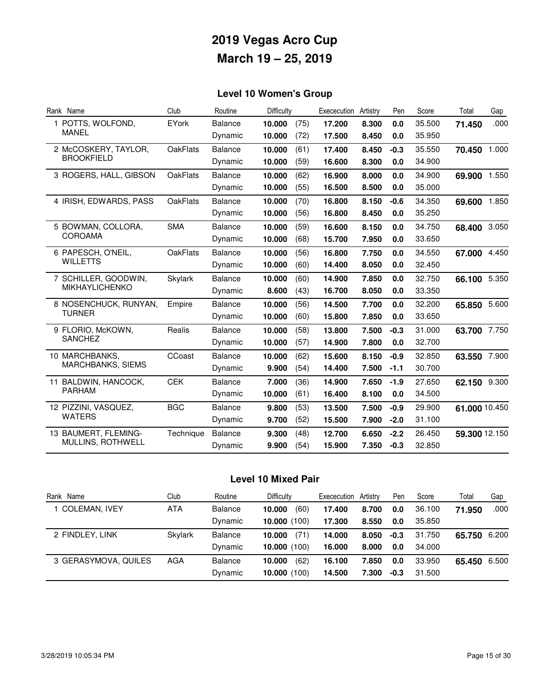## **Level 10 Women's Group**

| Rank Name                | Club            | Routine        | Difficulty |      | Exececution | Artistry | Pen    | Score  | Total         | Gap   |
|--------------------------|-----------------|----------------|------------|------|-------------|----------|--------|--------|---------------|-------|
| 1 POTTS, WOLFOND,        | EYork           | <b>Balance</b> | 10.000     | (75) | 17.200      | 8.300    | 0.0    | 35.500 | 71.450        | .000  |
| MANEL                    |                 | Dynamic        | 10.000     | (72) | 17.500      | 8.450    | 0.0    | 35.950 |               |       |
| 2 McCOSKERY, TAYLOR,     | <b>OakFlats</b> | <b>Balance</b> | 10.000     | (61) | 17.400      | 8.450    | $-0.3$ | 35.550 | 70.450 1.000  |       |
| <b>BROOKFIELD</b>        |                 | Dynamic        | 10.000     | (59) | 16.600      | 8.300    | 0.0    | 34.900 |               |       |
| 3 ROGERS, HALL, GIBSON   | <b>OakFlats</b> | <b>Balance</b> | 10.000     | (62) | 16.900      | 8.000    | 0.0    | 34.900 | 69.900 1.550  |       |
|                          |                 | Dynamic        | 10.000     | (55) | 16.500      | 8.500    | 0.0    | 35.000 |               |       |
| 4 IRISH, EDWARDS, PASS   | <b>OakFlats</b> | <b>Balance</b> | 10.000     | (70) | 16.800      | 8.150    | $-0.6$ | 34.350 | 69.600 1.850  |       |
|                          |                 | Dynamic        | 10.000     | (56) | 16.800      | 8.450    | 0.0    | 35.250 |               |       |
| 5 BOWMAN, COLLORA,       | <b>SMA</b>      | <b>Balance</b> | 10.000     | (59) | 16.600      | 8.150    | 0.0    | 34.750 | 68.400 3.050  |       |
| <b>COROAMA</b>           |                 | Dynamic        | 10.000     | (68) | 15.700      | 7.950    | 0.0    | 33.650 |               |       |
| 6 PAPESCH, O'NEIL,       | <b>OakFlats</b> | <b>Balance</b> | 10.000     | (56) | 16.800      | 7.750    | 0.0    | 34.550 | 67.000 4.450  |       |
| <b>WILLETTS</b>          |                 | Dynamic        | 10.000     | (60) | 14.400      | 8.050    | 0.0    | 32.450 |               |       |
| 7 SCHILLER, GOODWIN.     | <b>Skylark</b>  | <b>Balance</b> | 10.000     | (60) | 14.900      | 7.850    | 0.0    | 32.750 | 66.100 5.350  |       |
| <b>MIKHAYLICHENKO</b>    |                 | Dynamic        | 8.600      | (43) | 16.700      | 8.050    | 0.0    | 33.350 |               |       |
| 8 NOSENCHUCK, RUNYAN,    | Empire          | <b>Balance</b> | 10.000     | (56) | 14.500      | 7.700    | 0.0    | 32.200 | 65.850 5.600  |       |
| <b>TURNER</b>            |                 | Dynamic        | 10.000     | (60) | 15.800      | 7.850    | 0.0    | 33.650 |               |       |
| 9 FLORIO, McKOWN,        | Realis          | <b>Balance</b> | 10.000     | (58) | 13.800      | 7.500    | $-0.3$ | 31.000 | 63.700 7.750  |       |
| <b>SANCHEZ</b>           |                 | Dynamic        | 10.000     | (57) | 14.900      | 7.800    | 0.0    | 32.700 |               |       |
| 10 MARCHBANKS,           | CCoast          | <b>Balance</b> | 10.000     | (62) | 15.600      | 8.150    | $-0.9$ | 32.850 | 63.550        | 7.900 |
| <b>MARCHBANKS, SIEMS</b> |                 | Dynamic        | 9.900      | (54) | 14.400      | 7.500    | $-1.1$ | 30.700 |               |       |
| 11 BALDWIN, HANCOCK,     | <b>CEK</b>      | <b>Balance</b> | 7.000      | (36) | 14.900      | 7.650    | $-1.9$ | 27.650 | 62.150 9.300  |       |
| <b>PARHAM</b>            |                 | Dynamic        | 10.000     | (61) | 16.400      | 8.100    | 0.0    | 34.500 |               |       |
| 12 PIZZINI, VASQUEZ,     | <b>BGC</b>      | <b>Balance</b> | 9.800      | (53) | 13.500      | 7.500    | $-0.9$ | 29.900 | 61.000 10.450 |       |
| <b>WATERS</b>            |                 | Dynamic        | 9.700      | (52) | 15.500      | 7.900    | $-2.0$ | 31.100 |               |       |
| 13 BAUMERT, FLEMING-     | Technique       | <b>Balance</b> | 9.300      | (48) | 12.700      | 6.650    | $-2.2$ | 26.450 | 59.300 12.150 |       |
| MULLINS, ROTHWELL        |                 | Dynamic        | 9.900      | (54) | 15.900      | 7.350    | $-0.3$ | 32.850 |               |       |

### **Level 10 Mixed Pair**

| Rank Name            | Club    | Routine        | <b>Difficulty</b> | Exececution Artistry |       | Pen    | Score  | Total        | Gap  |
|----------------------|---------|----------------|-------------------|----------------------|-------|--------|--------|--------------|------|
| <b>COLEMAN, IVEY</b> | ATA     | <b>Balance</b> | (60)<br>10.000    | 17.400               | 8.700 | 0.0    | 36.100 | 71.950       | .000 |
|                      |         | Dynamic        | 10,000(100)       | 17.300               | 8.550 | 0.0    | 35.850 |              |      |
| 2 FINDLEY, LINK      | Skylark | <b>Balance</b> | (71)<br>10.000    | 14.000               | 8.050 | $-0.3$ | 31.750 | 65.750 6.200 |      |
|                      |         | Dynamic        | 10,000(100)       | 16.000               | 8.000 | 0.0    | 34.000 |              |      |
| 3 GERASYMOVA, QUILES | AGA     | <b>Balance</b> | (62)<br>10.000    | 16.100               | 7.850 | 0.0    | 33.950 | 65.450 6.500 |      |
|                      |         | Dynamic        | 10,000(100)       | 14.500               | 7.300 | $-0.3$ | 31.500 |              |      |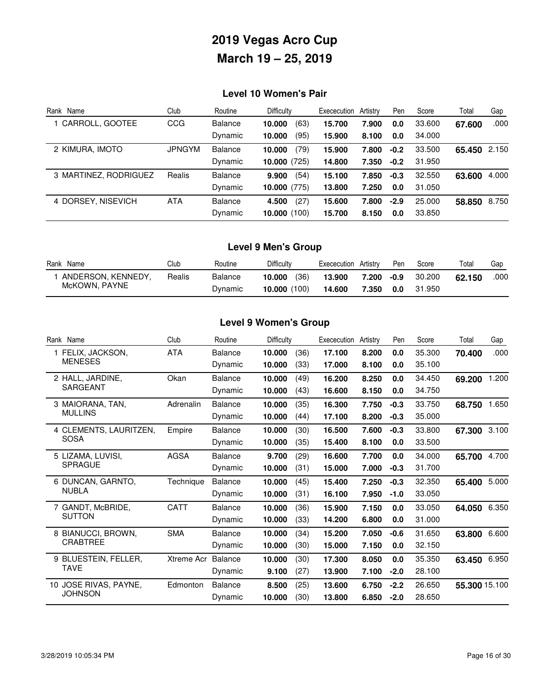### **Level 10 Women's Pair**

| Rank Name             | Club          | Routine        | <b>Difficulty</b> | Exececution | Artistry | Pen    | Score  | Total  | Gap   |
|-----------------------|---------------|----------------|-------------------|-------------|----------|--------|--------|--------|-------|
| 1 CARROLL, GOOTEE     | CCG           | <b>Balance</b> | (63)<br>10.000    | 15.700      | 7.900    | 0.0    | 33,600 | 67.600 | .000  |
|                       |               | Dynamic        | (95)<br>10.000    | 15.900      | 8.100    | 0.0    | 34.000 |        |       |
| 2 KIMURA, IMOTO       | <b>JPNGYM</b> | Balance        | (79)<br>10.000    | 15.900      | 7.800    | $-0.2$ | 33.500 | 65.450 | 2.150 |
|                       |               | Dynamic        | 10.000(725)       | 14.800      | 7.350    | $-0.2$ | 31.950 |        |       |
| 3 MARTINEZ, RODRIGUEZ | Realis        | <b>Balance</b> | (54)<br>9.900     | 15.100      | 7.850    | $-0.3$ | 32.550 | 63.600 | 4.000 |
|                       |               | Dynamic        | $10,000$ (775)    | 13,800      | 7.250    | 0.0    | 31.050 |        |       |
| 4 DORSEY, NISEVICH    | <b>ATA</b>    | <b>Balance</b> | (27)<br>4.500     | 15.600      | 7.800    | $-2.9$ | 25.000 | 58.850 | 8.750 |
|                       |               | Dynamic        | 10,000(100)       | 15.700      | 8.150    | 0.0    | 33,850 |        |       |

### **Level 9 Men's Group**

| Rank Name          | Club   | Routine        | Difficulty     | Artistry<br>Exececution | Pen             | Score  | Total  | Gap  |
|--------------------|--------|----------------|----------------|-------------------------|-----------------|--------|--------|------|
| ANDERSON, KENNEDY, | Realis | <b>Balance</b> | (36)<br>10.000 | 13.900                  | $-0.9$<br>7.200 | 30,200 | 62.150 | .000 |
| McKOWN, PAYNE      |        | Dynamic        | 10,000(100)    | 14.600                  | 7.350<br>0.0    | 31.950 |        |      |

### **Level 9 Women's Group**

| Rank Name              | Club        | Routine        | Difficulty |      | Exececution | Artistry | Pen    | Score  | Total         | Gap   |
|------------------------|-------------|----------------|------------|------|-------------|----------|--------|--------|---------------|-------|
| 1 FELIX, JACKSON,      | <b>ATA</b>  | <b>Balance</b> | 10.000     | (36) | 17.100      | 8.200    | 0.0    | 35.300 | 70.400        | .000  |
| <b>MENESES</b>         |             | Dynamic        | 10.000     | (33) | 17.000      | 8.100    | 0.0    | 35.100 |               |       |
| 2 HALL, JARDINE,       | Okan        | <b>Balance</b> | 10.000     | (49) | 16.200      | 8.250    | 0.0    | 34.450 | 69.200        | 1.200 |
| <b>SARGEANT</b>        |             | Dynamic        | 10,000     | (43) | 16.600      | 8.150    | 0.0    | 34.750 |               |       |
| 3 MAIORANA, TAN,       | Adrenalin   | <b>Balance</b> | 10.000     | (35) | 16.300      | 7.750    | $-0.3$ | 33.750 | 68.750        | 1.650 |
| <b>MULLINS</b>         |             | Dynamic        | 10.000     | (44) | 17.100      | 8.200    | $-0.3$ | 35.000 |               |       |
| 4 CLEMENTS, LAURITZEN, | Empire      | <b>Balance</b> | 10.000     | (30) | 16.500      | 7.600    | $-0.3$ | 33.800 | 67.300        | 3.100 |
| <b>SOSA</b>            |             | Dynamic        | 10.000     | (35) | 15.400      | 8.100    | 0.0    | 33.500 |               |       |
| 5 LIZAMA, LUVISI,      | <b>AGSA</b> | <b>Balance</b> | 9.700      | (29) | 16.600      | 7.700    | 0.0    | 34.000 | 65.700        | 4.700 |
| <b>SPRAGUE</b>         |             | Dynamic        | 10,000     | (31) | 15.000      | 7.000    | $-0.3$ | 31.700 |               |       |
| 6 DUNCAN, GARNTO,      | Technique   | <b>Balance</b> | 10.000     | (45) | 15.400      | 7.250    | $-0.3$ | 32.350 | 65.400        | 5.000 |
| <b>NUBLA</b>           |             | Dynamic        | 10.000     | (31) | 16.100      | 7.950    | $-1.0$ | 33.050 |               |       |
| 7 GANDT, McBRIDE,      | <b>CATT</b> | <b>Balance</b> | 10.000     | (36) | 15.900      | 7.150    | 0.0    | 33.050 | 64.050        | 6.350 |
| <b>SUTTON</b>          |             | Dynamic        | 10.000     | (33) | 14.200      | 6.800    | 0.0    | 31.000 |               |       |
| 8 BIANUCCI, BROWN,     | <b>SMA</b>  | <b>Balance</b> | 10.000     | (34) | 15.200      | 7.050    | $-0.6$ | 31.650 | 63.800        | 6.600 |
| <b>CRABTREE</b>        |             | Dynamic        | 10,000     | (30) | 15.000      | 7.150    | 0.0    | 32.150 |               |       |
| 9 BLUESTEIN, FELLER,   | Xtreme Acr  | Balance        | 10.000     | (30) | 17.300      | 8.050    | 0.0    | 35.350 | 63.450        | 6.950 |
| <b>TAVE</b>            |             | Dynamic        | 9.100      | (27) | 13.900      | 7.100    | $-2.0$ | 28.100 |               |       |
| 10 JOSE RIVAS, PAYNE,  | Edmonton    | <b>Balance</b> | 8.500      | (25) | 13.600      | 6.750    | $-2.2$ | 26.650 | 55.300 15.100 |       |
| <b>JOHNSON</b>         |             | Dynamic        | 10.000     | (30) | 13.800      | 6.850    | $-2.0$ | 28.650 |               |       |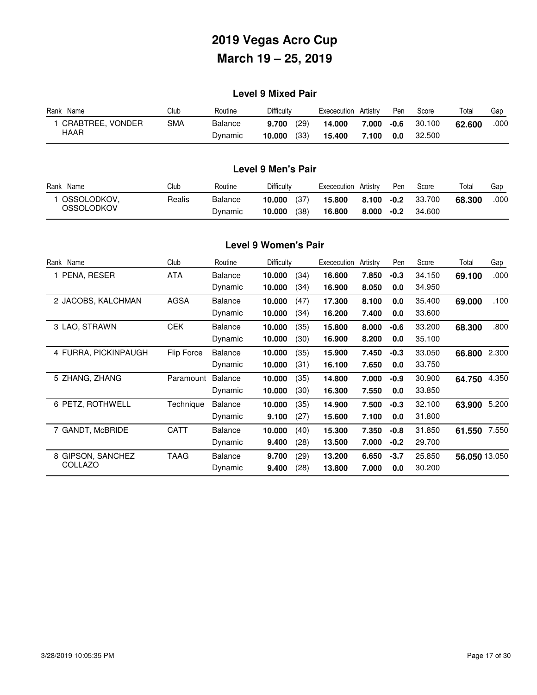### **Level 9 Mixed Pair**

| Rank Name               | Club       | Routine        | Difficultv     | Artistry<br>Exececution | Pen  | Score  | Total  | Gap  |
|-------------------------|------------|----------------|----------------|-------------------------|------|--------|--------|------|
| <b>CRABTREE, VONDER</b> | <b>SMA</b> | <b>Balance</b> | (29)<br>9.700  | 14.000<br>7.000         | -0.6 | 30.100 | 62.600 | .000 |
| HAAR                    |            | Dynamic        | (33)<br>10.000 | 15.400<br>7.100         | 0.0  | 32,500 |        |      |

### **Level 9 Men's Pair**

| Rank<br>Name | Club   | Routine | Difficulty     | Artistry<br>Exececution | Pen    | Score  | Total  | Gap  |
|--------------|--------|---------|----------------|-------------------------|--------|--------|--------|------|
| OSSOLODKOV.  | Realis | Balance | (37)<br>10.000 | 15,800<br>8.100         | $-0.2$ | 33.700 | 68.300 | .000 |
| OSSOLODKOV   |        | Dynamic | (38)<br>10.000 | 16,800<br>8.000         | $-0.2$ | 34.600 |        |      |

#### **Level 9 Women's Pair**

| Rank Name            | Club        | Routine        | Difficulty |      | Exececution | Artistry | Pen    | Score  | Total         | Gap   |
|----------------------|-------------|----------------|------------|------|-------------|----------|--------|--------|---------------|-------|
| PENA, RESER          | <b>ATA</b>  | <b>Balance</b> | 10.000     | (34) | 16.600      | 7.850    | $-0.3$ | 34.150 | 69.100        | .000  |
|                      |             | Dynamic        | 10.000     | (34) | 16.900      | 8.050    | 0.0    | 34.950 |               |       |
| 2 JACOBS, KALCHMAN   | <b>AGSA</b> | <b>Balance</b> | 10.000     | (47) | 17.300      | 8.100    | 0.0    | 35.400 | 69.000        | .100  |
|                      |             | Dynamic        | 10.000     | (34) | 16.200      | 7.400    | 0.0    | 33.600 |               |       |
| 3 LAO, STRAWN        | <b>CEK</b>  | <b>Balance</b> | 10.000     | (35) | 15.800      | 8.000    | -0.6   | 33.200 | 68.300        | .800  |
|                      |             | Dynamic        | 10.000     | (30) | 16.900      | 8.200    | 0.0    | 35.100 |               |       |
| 4 FURRA, PICKINPAUGH | Flip Force  | <b>Balance</b> | 10.000     | (35) | 15.900      | 7.450    | $-0.3$ | 33.050 | 66.800        | 2.300 |
|                      |             | Dynamic        | 10.000     | (31) | 16.100      | 7.650    | 0.0    | 33.750 |               |       |
| 5 ZHANG, ZHANG       | Paramount   | <b>Balance</b> | 10.000     | (35) | 14.800      | 7.000    | $-0.9$ | 30.900 | 64.750        | 4.350 |
|                      |             | Dynamic        | 10.000     | (30) | 16.300      | 7.550    | 0.0    | 33.850 |               |       |
| 6 PETZ, ROTHWELL     | Technique   | <b>Balance</b> | 10.000     | (35) | 14.900      | 7.500    | $-0.3$ | 32.100 | 63.900        | 5.200 |
|                      |             | Dynamic        | 9.100      | (27) | 15.600      | 7.100    | 0.0    | 31.800 |               |       |
| 7 GANDT, McBRIDE     | <b>CATT</b> | <b>Balance</b> | 10.000     | (40) | 15.300      | 7.350    | $-0.8$ | 31.850 | 61.550        | 7.550 |
|                      |             | Dynamic        | 9.400      | (28) | 13.500      | 7.000    | $-0.2$ | 29.700 |               |       |
| 8 GIPSON, SANCHEZ    | <b>TAAG</b> | <b>Balance</b> | 9.700      | (29) | 13.200      | 6.650    | $-3.7$ | 25.850 | 56.050 13.050 |       |
| COLLAZO              |             | Dynamic        | 9.400      | (28) | 13.800      | 7.000    | 0.0    | 30.200 |               |       |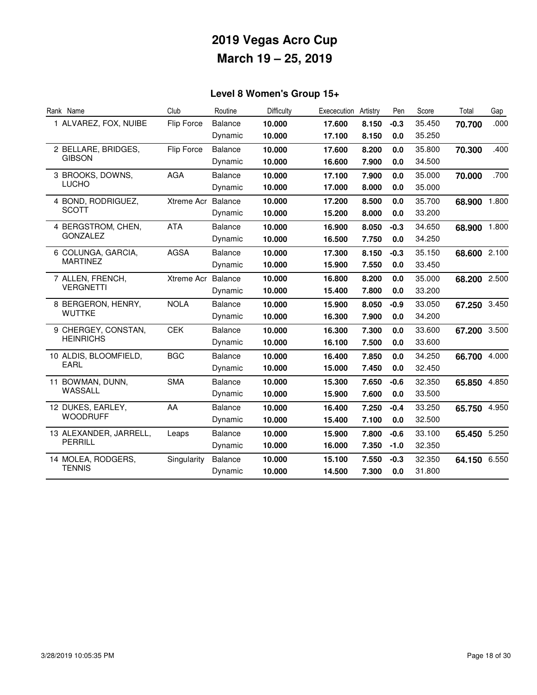## **Level 8 Women's Group 15+**

| Rank Name              | Club               | Routine        | Difficulty | Exececution | Artistry | Pen    | Score  | Total        | Gap   |
|------------------------|--------------------|----------------|------------|-------------|----------|--------|--------|--------------|-------|
| 1 ALVAREZ, FOX, NUIBE  | Flip Force         | <b>Balance</b> | 10.000     | 17.600      | 8.150    | $-0.3$ | 35.450 | 70.700       | .000  |
|                        |                    | Dynamic        | 10.000     | 17.100      | 8.150    | 0.0    | 35.250 |              |       |
| 2 BELLARE, BRIDGES,    | Flip Force         | <b>Balance</b> | 10.000     | 17.600      | 8.200    | 0.0    | 35.800 | 70.300       | .400  |
| <b>GIBSON</b>          |                    | Dynamic        | 10.000     | 16.600      | 7.900    | 0.0    | 34.500 |              |       |
| 3 BROOKS, DOWNS,       | <b>AGA</b>         | <b>Balance</b> | 10.000     | 17.100      | 7.900    | 0.0    | 35.000 | 70.000       | .700  |
| <b>LUCHO</b>           |                    | Dynamic        | 10.000     | 17.000      | 8.000    | 0.0    | 35.000 |              |       |
| 4 BOND, RODRIGUEZ,     | Xtreme Acr Balance |                | 10.000     | 17.200      | 8.500    | 0.0    | 35.700 | 68.900 1.800 |       |
| <b>SCOTT</b>           |                    | Dynamic        | 10.000     | 15.200      | 8.000    | 0.0    | 33.200 |              |       |
| 4 BERGSTROM, CHEN,     | <b>ATA</b>         | <b>Balance</b> | 10.000     | 16.900      | 8.050    | $-0.3$ | 34.650 | 68.900 1.800 |       |
| <b>GONZALEZ</b>        |                    | Dynamic        | 10.000     | 16.500      | 7.750    | 0.0    | 34.250 |              |       |
| 6 COLUNGA, GARCIA,     | <b>AGSA</b>        | <b>Balance</b> | 10.000     | 17.300      | 8.150    | $-0.3$ | 35.150 | 68.600 2.100 |       |
| <b>MARTINEZ</b>        |                    | Dynamic        | 10.000     | 15.900      | 7.550    | 0.0    | 33.450 |              |       |
| 7 ALLEN, FRENCH,       | Xtreme Acr         | Balance        | 10.000     | 16.800      | 8.200    | 0.0    | 35.000 | 68.200 2.500 |       |
| <b>VERGNETTI</b>       |                    | Dynamic        | 10.000     | 15.400      | 7.800    | 0.0    | 33.200 |              |       |
| 8 BERGERON, HENRY,     | <b>NOLA</b>        | <b>Balance</b> | 10.000     | 15.900      | 8.050    | $-0.9$ | 33.050 | 67.250 3.450 |       |
| <b>WUTTKE</b>          |                    | Dynamic        | 10.000     | 16.300      | 7.900    | 0.0    | 34.200 |              |       |
| 9 CHERGEY, CONSTAN,    | <b>CEK</b>         | <b>Balance</b> | 10.000     | 16.300      | 7.300    | 0.0    | 33.600 | 67.200 3.500 |       |
| <b>HEINRICHS</b>       |                    | Dynamic        | 10.000     | 16.100      | 7.500    | 0.0    | 33.600 |              |       |
| 10 ALDIS, BLOOMFIELD,  | <b>BGC</b>         | <b>Balance</b> | 10.000     | 16.400      | 7.850    | 0.0    | 34.250 | 66.700       | 4.000 |
| EARL                   |                    | Dynamic        | 10.000     | 15.000      | 7.450    | 0.0    | 32.450 |              |       |
| 11 BOWMAN, DUNN,       | <b>SMA</b>         | <b>Balance</b> | 10.000     | 15.300      | 7.650    | $-0.6$ | 32.350 | 65.850       | 4.850 |
| WASSALL                |                    | Dynamic        | 10.000     | 15.900      | 7.600    | 0.0    | 33.500 |              |       |
| 12 DUKES, EARLEY,      | AA                 | <b>Balance</b> | 10.000     | 16.400      | 7.250    | $-0.4$ | 33.250 | 65.750 4.950 |       |
| <b>WOODRUFF</b>        |                    | Dynamic        | 10.000     | 15.400      | 7.100    | 0.0    | 32.500 |              |       |
| 13 ALEXANDER, JARRELL, | Leaps              | <b>Balance</b> | 10.000     | 15.900      | 7.800    | $-0.6$ | 33.100 | 65.450 5.250 |       |
| <b>PERRILL</b>         |                    | Dynamic        | 10.000     | 16.000      | 7.350    | $-1.0$ | 32.350 |              |       |
| 14 MOLEA, RODGERS,     | Singularity        | <b>Balance</b> | 10.000     | 15.100      | 7.550    | $-0.3$ | 32.350 | 64.150 6.550 |       |
| <b>TENNIS</b>          |                    | Dynamic        | 10.000     | 14.500      | 7.300    | 0.0    | 31.800 |              |       |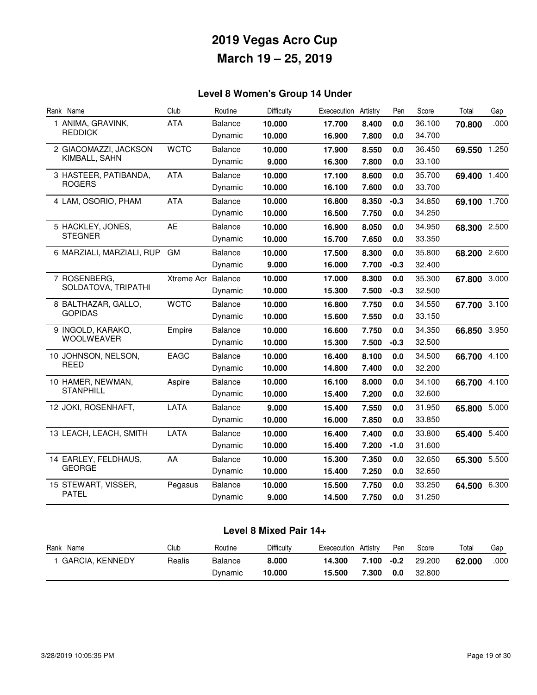## **Level 8 Women's Group 14 Under**

| Rank Name                 | Club        | Routine        | Difficulty | Exececution | Artistry | Pen    | Score  | Total        | Gap   |
|---------------------------|-------------|----------------|------------|-------------|----------|--------|--------|--------------|-------|
| 1 ANIMA, GRAVINK,         | <b>ATA</b>  | <b>Balance</b> | 10.000     | 17.700      | 8.400    | 0.0    | 36.100 | 70.800       | .000  |
| <b>REDDICK</b>            |             | Dynamic        | 10.000     | 16.900      | 7.800    | 0.0    | 34.700 |              |       |
| 2 GIACOMAZZI, JACKSON     | <b>WCTC</b> | <b>Balance</b> | 10.000     | 17.900      | 8.550    | 0.0    | 36.450 | 69.550 1.250 |       |
| KIMBALL, SAHN             |             | Dynamic        | 9.000      | 16.300      | 7.800    | 0.0    | 33.100 |              |       |
| 3 HASTEER, PATIBANDA,     | <b>ATA</b>  | <b>Balance</b> | 10.000     | 17.100      | 8.600    | 0.0    | 35.700 | 69.400 1.400 |       |
| <b>ROGERS</b>             |             | Dynamic        | 10.000     | 16.100      | 7.600    | 0.0    | 33.700 |              |       |
| 4 LAM, OSORIO, PHAM       | <b>ATA</b>  | <b>Balance</b> | 10.000     | 16.800      | 8.350    | $-0.3$ | 34.850 | 69.100 1.700 |       |
|                           |             | Dynamic        | 10.000     | 16.500      | 7.750    | 0.0    | 34.250 |              |       |
| 5 HACKLEY, JONES,         | <b>AE</b>   | Balance        | 10.000     | 16.900      | 8.050    | 0.0    | 34.950 | 68.300 2.500 |       |
| <b>STEGNER</b>            |             | Dynamic        | 10.000     | 15.700      | 7.650    | 0.0    | 33.350 |              |       |
| 6 MARZIALI, MARZIALI, RUP | GM          | <b>Balance</b> | 10.000     | 17.500      | 8.300    | 0.0    | 35.800 | 68.200 2.600 |       |
|                           |             | Dynamic        | 9.000      | 16.000      | 7.700    | $-0.3$ | 32.400 |              |       |
| 7 ROSENBERG,              | Xtreme Acr  | <b>Balance</b> | 10.000     | 17.000      | 8.300    | 0.0    | 35.300 | 67.800 3.000 |       |
| SOLDATOVA, TRIPATHI       |             | Dynamic        | 10.000     | 15.300      | 7.500    | $-0.3$ | 32.500 |              |       |
| 8 BALTHAZAR, GALLO,       | <b>WCTC</b> | <b>Balance</b> | 10.000     | 16.800      | 7.750    | 0.0    | 34.550 | 67.700 3.100 |       |
| <b>GOPIDAS</b>            |             | Dynamic        | 10.000     | 15.600      | 7.550    | 0.0    | 33.150 |              |       |
| 9 INGOLD, KARAKO,         | Empire      | Balance        | 10.000     | 16.600      | 7.750    | 0.0    | 34.350 | 66.850 3.950 |       |
| <b>WOOLWEAVER</b>         |             | Dynamic        | 10.000     | 15.300      | 7.500    | $-0.3$ | 32.500 |              |       |
| 10 JOHNSON, NELSON,       | EAGC        | <b>Balance</b> | 10.000     | 16.400      | 8.100    | 0.0    | 34.500 | 66.700 4.100 |       |
| <b>REED</b>               |             | Dynamic        | 10.000     | 14.800      | 7.400    | 0.0    | 32.200 |              |       |
| 10 HAMER, NEWMAN,         | Aspire      | <b>Balance</b> | 10.000     | 16.100      | 8.000    | 0.0    | 34.100 | 66.700       | 4.100 |
| <b>STANPHILL</b>          |             | Dynamic        | 10.000     | 15.400      | 7.200    | 0.0    | 32.600 |              |       |
| 12 JOKI, ROSENHAFT,       | LATA        | Balance        | 9.000      | 15.400      | 7.550    | 0.0    | 31.950 | 65.800 5.000 |       |
|                           |             | Dynamic        | 10.000     | 16.000      | 7.850    | 0.0    | 33.850 |              |       |
| 13 LEACH, LEACH, SMITH    | LATA        | <b>Balance</b> | 10.000     | 16.400      | 7.400    | 0.0    | 33.800 | 65.400       | 5.400 |
|                           |             | Dynamic        | 10.000     | 15.400      | 7.200    | $-1.0$ | 31.600 |              |       |
| 14 EARLEY, FELDHAUS,      | AA          | <b>Balance</b> | 10.000     | 15.300      | 7.350    | 0.0    | 32.650 | 65.300 5.500 |       |
| <b>GEORGE</b>             |             | Dynamic        | 10.000     | 15.400      | 7.250    | 0.0    | 32.650 |              |       |
| 15 STEWART, VISSER,       | Pegasus     | Balance        | 10.000     | 15.500      | 7.750    | 0.0    | 33.250 | 64.500       | 6.300 |
| <b>PATEL</b>              |             | Dynamic        | 9.000      | 14.500      | 7.750    | 0.0    | 31.250 |              |       |

### **Level 8 Mixed Pair 14+**

| Rank<br>Name    | Club   | Routine | Difficulty | Exececution | Artistrv | Pen    | Score  | Total  | Gap  |
|-----------------|--------|---------|------------|-------------|----------|--------|--------|--------|------|
| GARCIA, KENNEDY | Realis | Balance | 8.000      | 14.300      | 7.100    | $-0.2$ | 29,200 | 62.000 | .000 |
|                 |        | Dynamic | 10.000     | 15.500      | 7.300    | 0.0    | 32.800 |        |      |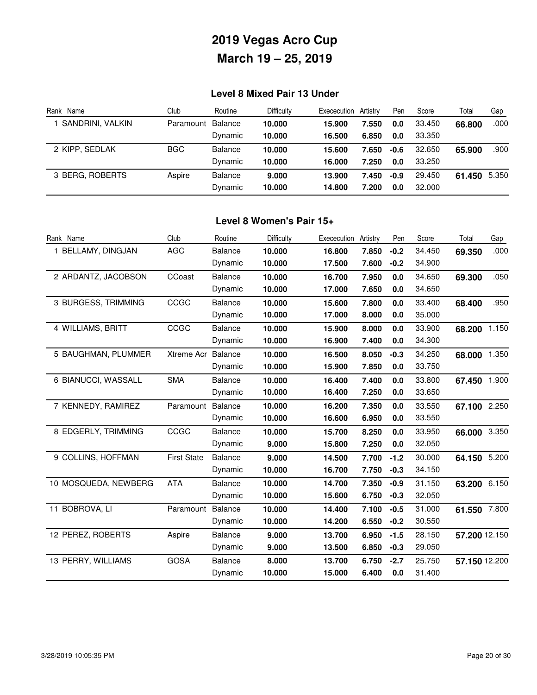### **Level 8 Mixed Pair 13 Under**

| Rank Name        | Club              | Routine        | <b>Difficulty</b> | Exececution | Artistrv | Pen    | Score  | Total  | Gap   |
|------------------|-------------------|----------------|-------------------|-------------|----------|--------|--------|--------|-------|
| SANDRINI, VALKIN | Paramount Balance |                | 10.000            | 15.900      | 7.550    | 0.0    | 33.450 | 66.800 | .000  |
|                  |                   | Dynamic        | 10.000            | 16.500      | 6.850    | 0.0    | 33.350 |        |       |
| 2 KIPP. SEDLAK   | <b>BGC</b>        | <b>Balance</b> | 10.000            | 15.600      | 7.650    | $-0.6$ | 32.650 | 65.900 | .900  |
|                  |                   | Dynamic        | 10.000            | 16.000      | 7.250    | 0.0    | 33.250 |        |       |
| 3 BERG, ROBERTS  | Aspire            | Balance        | 9.000             | 13.900      | 7.450    | $-0.9$ | 29.450 | 61.450 | 5.350 |
|                  |                   | Dynamic        | 10.000            | 14.800      | 7.200    | 0.0    | 32,000 |        |       |

#### **Level 8 Women's Pair 15+**

| Rank Name            | Club               | Routine        | Difficulty | Exececution | Artistry | Pen    | Score  | Total         | Gap   |
|----------------------|--------------------|----------------|------------|-------------|----------|--------|--------|---------------|-------|
| 1 BELLAMY, DINGJAN   | <b>AGC</b>         | Balance        | 10.000     | 16.800      | 7.850    | $-0.2$ | 34.450 | 69.350        | .000  |
|                      |                    | Dynamic        | 10.000     | 17.500      | 7.600    | $-0.2$ | 34.900 |               |       |
| 2 ARDANTZ, JACOBSON  | CCoast             | <b>Balance</b> | 10.000     | 16.700      | 7.950    | 0.0    | 34.650 | 69.300        | .050  |
|                      |                    | Dynamic        | 10.000     | 17.000      | 7.650    | 0.0    | 34.650 |               |       |
| 3 BURGESS, TRIMMING  | CCGC               | <b>Balance</b> | 10.000     | 15.600      | 7.800    | 0.0    | 33.400 | 68.400        | .950  |
|                      |                    | Dynamic        | 10.000     | 17.000      | 8.000    | 0.0    | 35.000 |               |       |
| 4 WILLIAMS, BRITT    | CCGC               | <b>Balance</b> | 10.000     | 15.900      | 8.000    | 0.0    | 33.900 | 68.200        | 1.150 |
|                      |                    | Dynamic        | 10.000     | 16.900      | 7.400    | 0.0    | 34.300 |               |       |
| 5 BAUGHMAN, PLUMMER  | Xtreme Acr         | <b>Balance</b> | 10.000     | 16.500      | 8.050    | $-0.3$ | 34.250 | 68.000        | 1.350 |
|                      |                    | Dynamic        | 10.000     | 15.900      | 7.850    | 0.0    | 33.750 |               |       |
| 6 BIANUCCI, WASSALL  | <b>SMA</b>         | <b>Balance</b> | 10.000     | 16.400      | 7.400    | 0.0    | 33.800 | 67.450        | 1.900 |
|                      |                    | Dynamic        | 10.000     | 16.400      | 7.250    | 0.0    | 33.650 |               |       |
| 7 KENNEDY, RAMIREZ   | Paramount          | <b>Balance</b> | 10.000     | 16.200      | 7.350    | 0.0    | 33.550 | 67.100        | 2.250 |
|                      |                    | Dynamic        | 10.000     | 16.600      | 6.950    | 0.0    | 33.550 |               |       |
| 8 EDGERLY, TRIMMING  | CCGC               | <b>Balance</b> | 10.000     | 15.700      | 8.250    | 0.0    | 33.950 | 66.000        | 3.350 |
|                      |                    | Dynamic        | 9.000      | 15.800      | 7.250    | 0.0    | 32.050 |               |       |
| 9 COLLINS, HOFFMAN   | <b>First State</b> | <b>Balance</b> | 9.000      | 14.500      | 7.700    | $-1.2$ | 30.000 | 64.150 5.200  |       |
|                      |                    | Dynamic        | 10.000     | 16.700      | 7.750    | $-0.3$ | 34.150 |               |       |
| 10 MOSQUEDA, NEWBERG | <b>ATA</b>         | <b>Balance</b> | 10.000     | 14.700      | 7.350    | $-0.9$ | 31.150 | 63.200        | 6.150 |
|                      |                    | Dynamic        | 10.000     | 15.600      | 6.750    | $-0.3$ | 32.050 |               |       |
| 11 BOBROVA, LI       | Paramount          | Balance        | 10.000     | 14.400      | 7.100    | $-0.5$ | 31.000 | 61.550 7.800  |       |
|                      |                    | Dynamic        | 10.000     | 14.200      | 6.550    | $-0.2$ | 30.550 |               |       |
| 12 PEREZ, ROBERTS    | Aspire             | <b>Balance</b> | 9.000      | 13.700      | 6.950    | $-1.5$ | 28.150 | 57.200 12.150 |       |
|                      |                    | Dynamic        | 9.000      | 13.500      | 6.850    | $-0.3$ | 29.050 |               |       |
| 13 PERRY, WILLIAMS   | <b>GOSA</b>        | <b>Balance</b> | 8.000      | 13.700      | 6.750    | $-2.7$ | 25.750 | 57.150 12.200 |       |
|                      |                    | Dynamic        | 10.000     | 15.000      | 6.400    | 0.0    | 31.400 |               |       |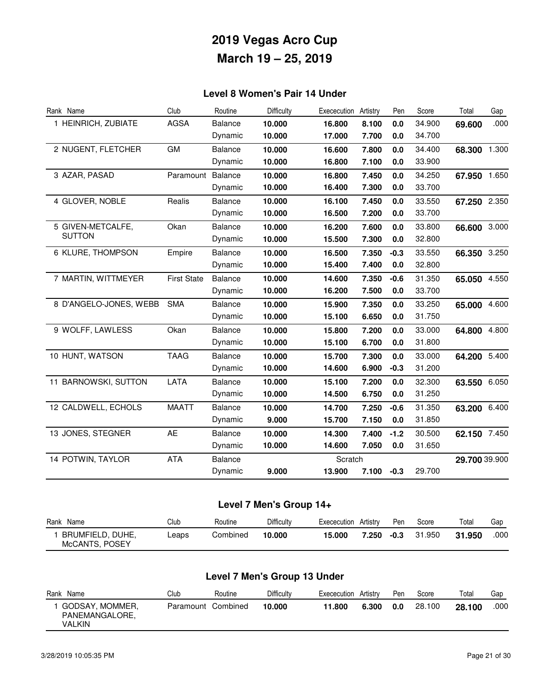### **Level 8 Women's Pair 14 Under**

| Rank Name              | Club               | Routine        | Difficulty | Exececution | Artistry | Pen    | Score  | Total         | Gap   |
|------------------------|--------------------|----------------|------------|-------------|----------|--------|--------|---------------|-------|
| 1 HEINRICH, ZUBIATE    | <b>AGSA</b>        | <b>Balance</b> | 10.000     | 16.800      | 8.100    | 0.0    | 34.900 | 69.600        | .000  |
|                        |                    | Dynamic        | 10.000     | 17.000      | 7.700    | 0.0    | 34.700 |               |       |
| 2 NUGENT, FLETCHER     | GM                 | <b>Balance</b> | 10.000     | 16.600      | 7.800    | 0.0    | 34.400 | 68.300 1.300  |       |
|                        |                    | Dynamic        | 10.000     | 16.800      | 7.100    | 0.0    | 33.900 |               |       |
| 3 AZAR, PASAD          | Paramount          | Balance        | 10.000     | 16.800      | 7.450    | 0.0    | 34.250 | 67.950 1.650  |       |
|                        |                    | Dynamic        | 10.000     | 16.400      | 7.300    | 0.0    | 33.700 |               |       |
| 4 GLOVER, NOBLE        | Realis             | <b>Balance</b> | 10.000     | 16.100      | 7.450    | 0.0    | 33.550 | 67.250 2.350  |       |
|                        |                    | Dynamic        | 10.000     | 16.500      | 7.200    | 0.0    | 33.700 |               |       |
| 5 GIVEN-METCALFE,      | Okan               | <b>Balance</b> | 10.000     | 16.200      | 7.600    | 0.0    | 33.800 | 66.600 3.000  |       |
| <b>SUTTON</b>          |                    | Dynamic        | 10.000     | 15.500      | 7.300    | 0.0    | 32.800 |               |       |
| 6 KLURE, THOMPSON      | Empire             | <b>Balance</b> | 10.000     | 16.500      | 7.350    | $-0.3$ | 33.550 | 66.350 3.250  |       |
|                        |                    | Dynamic        | 10.000     | 15.400      | 7.400    | 0.0    | 32.800 |               |       |
| 7 MARTIN, WITTMEYER    | <b>First State</b> | Balance        | 10.000     | 14.600      | 7.350    | $-0.6$ | 31.350 | 65.050        | 4.550 |
|                        |                    | Dynamic        | 10.000     | 16.200      | 7.500    | 0.0    | 33.700 |               |       |
| 8 D'ANGELO-JONES, WEBB | <b>SMA</b>         | <b>Balance</b> | 10.000     | 15.900      | 7.350    | 0.0    | 33.250 | 65.000        | 4.600 |
|                        |                    | Dynamic        | 10.000     | 15.100      | 6.650    | 0.0    | 31.750 |               |       |
| 9 WOLFF, LAWLESS       | Okan               | <b>Balance</b> | 10.000     | 15.800      | 7.200    | 0.0    | 33.000 | 64.800 4.800  |       |
|                        |                    | Dynamic        | 10.000     | 15.100      | 6.700    | 0.0    | 31.800 |               |       |
| 10 HUNT, WATSON        | <b>TAAG</b>        | <b>Balance</b> | 10.000     | 15.700      | 7.300    | 0.0    | 33.000 | 64.200        | 5.400 |
|                        |                    | Dynamic        | 10.000     | 14.600      | 6.900    | $-0.3$ | 31.200 |               |       |
| 11 BARNOWSKI, SUTTON   | LATA               | <b>Balance</b> | 10.000     | 15.100      | 7.200    | 0.0    | 32.300 | 63.550 6.050  |       |
|                        |                    | Dynamic        | 10.000     | 14.500      | 6.750    | 0.0    | 31.250 |               |       |
| 12 CALDWELL, ECHOLS    | <b>MAATT</b>       | Balance        | 10.000     | 14.700      | 7.250    | $-0.6$ | 31.350 | 63.200 6.400  |       |
|                        |                    | Dynamic        | 9.000      | 15.700      | 7.150    | 0.0    | 31.850 |               |       |
| 13 JONES, STEGNER      | <b>AE</b>          | <b>Balance</b> | 10.000     | 14.300      | 7.400    | $-1.2$ | 30.500 | 62.150 7.450  |       |
|                        |                    | Dynamic        | 10.000     | 14.600      | 7.050    | 0.0    | 31.650 |               |       |
| 14 POTWIN, TAYLOR      | <b>ATA</b>         | <b>Balance</b> |            | Scratch     |          |        |        | 29.700 39.900 |       |
|                        |                    | Dynamic        | 9.000      | 13.900      | 7.100    | $-0.3$ | 29.700 |               |       |

## **Level 7 Men's Group 14+**

| Rank<br>Name                       | Club  | Routine  | <b>Difficulty</b> | Exececution | Artistry | Pen  | Score  | Total  | Gap  |
|------------------------------------|-------|----------|-------------------|-------------|----------|------|--------|--------|------|
| BRUMFIELD, DUHE,<br>McCANTS, POSEY | Leaps | Combined | 10.000            | 15,000      | 7.250    | -0.3 | 31.950 | 31.950 | .000 |

## **Level 7 Men's Group 13 Under**

| Name<br>Rank                                | Club               | Routine | Difficulty | Exececution | Artistry | Pen | Score  | Total  | Gap  |
|---------------------------------------------|--------------------|---------|------------|-------------|----------|-----|--------|--------|------|
| GODSAY, MOMMER,<br>PANEMANGALORE,<br>VALKIN | Paramount Combined |         | 10.000     | 11.800      | 6.300    | 0.0 | 28.100 | 28.100 | .000 |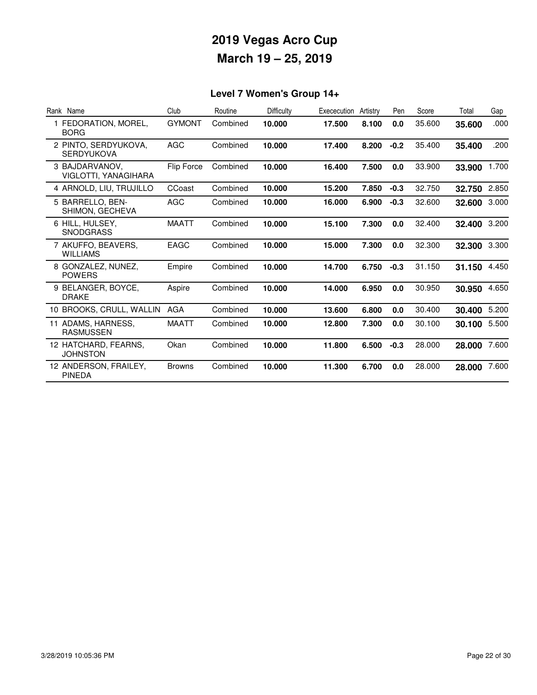## **Level 7 Women's Group 14+**

| Rank Name                                 | Club          | Routine  | <b>Difficulty</b> | Exececution | Artistry | Pen    | Score  | Total        | Gap   |
|-------------------------------------------|---------------|----------|-------------------|-------------|----------|--------|--------|--------------|-------|
| 1 FEDORATION, MOREL,<br><b>BORG</b>       | <b>GYMONT</b> | Combined | 10.000            | 17.500      | 8.100    | 0.0    | 35.600 | 35,600       | .000  |
| 2 PINTO, SERDYUKOVA.<br><b>SERDYUKOVA</b> | <b>AGC</b>    | Combined | 10.000            | 17.400      | 8.200    | $-0.2$ | 35.400 | 35.400       | .200  |
| 3 BAJDARVANOV.<br>VIGLOTTI, YANAGIHARA    | Flip Force    | Combined | 10.000            | 16.400      | 7.500    | 0.0    | 33.900 | 33.900       | 1.700 |
| 4 ARNOLD, LIU, TRUJILLO                   | CCoast        | Combined | 10.000            | 15.200      | 7.850    | $-0.3$ | 32.750 | 32.750       | 2.850 |
| 5 BARRELLO, BEN-<br>SHIMON, GECHEVA       | <b>AGC</b>    | Combined | 10.000            | 16.000      | 6.900    | $-0.3$ | 32.600 | 32.600       | 3.000 |
| 6 HILL, HULSEY.<br><b>SNODGRASS</b>       | <b>MAATT</b>  | Combined | 10.000            | 15.100      | 7.300    | 0.0    | 32.400 | 32.400       | 3.200 |
| 7 AKUFFO, BEAVERS,<br><b>WILLIAMS</b>     | <b>EAGC</b>   | Combined | 10.000            | 15.000      | 7.300    | 0.0    | 32,300 | 32.300 3.300 |       |
| 8 GONZALEZ, NUNEZ,<br><b>POWERS</b>       | Empire        | Combined | 10.000            | 14.700      | 6.750    | $-0.3$ | 31.150 | 31.150       | 4.450 |
| 9 BELANGER, BOYCE,<br><b>DRAKE</b>        | Aspire        | Combined | 10.000            | 14.000      | 6.950    | 0.0    | 30.950 | 30.950       | 4.650 |
| 10 BROOKS, CRULL, WALLIN                  | AGA           | Combined | 10.000            | 13.600      | 6.800    | 0.0    | 30.400 | 30.400       | 5.200 |
| 11 ADAMS, HARNESS,<br><b>RASMUSSEN</b>    | <b>MAATT</b>  | Combined | 10.000            | 12.800      | 7.300    | 0.0    | 30.100 | 30.100       | 5.500 |
| 12 HATCHARD, FEARNS.<br><b>JOHNSTON</b>   | Okan          | Combined | 10.000            | 11.800      | 6.500    | $-0.3$ | 28.000 | 28.000       | 7.600 |
| 12 ANDERSON, FRAILEY,<br><b>PINEDA</b>    | <b>Browns</b> | Combined | 10.000            | 11.300      | 6.700    | 0.0    | 28,000 | 28.000       | 7.600 |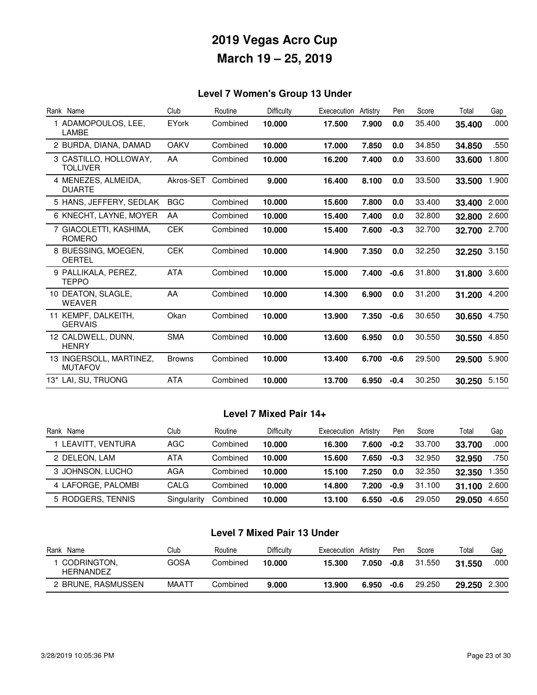### **Level 7 Women's Group 13 Under**

| Rank Name                                 | Club          | Routine  | Difficulty | Exececution | Artistry | Pen    | Score  | Total  | Gap   |
|-------------------------------------------|---------------|----------|------------|-------------|----------|--------|--------|--------|-------|
| 1 ADAMOPOULOS, LEE,<br><b>LAMBE</b>       | EYork         | Combined | 10.000     | 17.500      | 7.900    | 0.0    | 35.400 | 35.400 | .000  |
| 2 BURDA, DIANA, DAMAD                     | <b>OAKV</b>   | Combined | 10.000     | 17.000      | 7.850    | 0.0    | 34.850 | 34.850 | .550  |
| 3 CASTILLO, HOLLOWAY,<br><b>TOLLIVER</b>  | AA            | Combined | 10.000     | 16.200      | 7.400    | 0.0    | 33.600 | 33.600 | 1.800 |
| 4 MENEZES, ALMEIDA,<br><b>DUARTE</b>      | Akros-SET     | Combined | 9.000      | 16.400      | 8.100    | 0.0    | 33.500 | 33.500 | 1.900 |
| 5 HANS, JEFFERY, SEDLAK                   | <b>BGC</b>    | Combined | 10.000     | 15.600      | 7.800    | 0.0    | 33.400 | 33.400 | 2.000 |
| 6 KNECHT, LAYNE, MOYER                    | AA            | Combined | 10.000     | 15.400      | 7.400    | 0.0    | 32,800 | 32.800 | 2.600 |
| 7 GIACOLETTI, KASHIMA,<br><b>ROMERO</b>   | <b>CEK</b>    | Combined | 10.000     | 15.400      | 7.600    | $-0.3$ | 32.700 | 32.700 | 2.700 |
| 8 BUESSING, MOEGEN.<br><b>OERTEL</b>      | <b>CEK</b>    | Combined | 10.000     | 14.900      | 7.350    | 0.0    | 32.250 | 32.250 | 3.150 |
| 9 PALLIKALA, PEREZ,<br><b>TEPPO</b>       | <b>ATA</b>    | Combined | 10.000     | 15.000      | 7.400    | $-0.6$ | 31.800 | 31.800 | 3.600 |
| 10 DEATON, SLAGLE,<br><b>WEAVER</b>       | AA            | Combined | 10.000     | 14.300      | 6.900    | 0.0    | 31.200 | 31.200 | 4.200 |
| 11 KEMPF, DALKEITH,<br><b>GERVAIS</b>     | Okan          | Combined | 10.000     | 13.900      | 7.350    | $-0.6$ | 30.650 | 30.650 | 4.750 |
| 12 CALDWELL, DUNN,<br><b>HENRY</b>        | <b>SMA</b>    | Combined | 10.000     | 13.600      | 6.950    | 0.0    | 30.550 | 30.550 | 4.850 |
| 13 INGERSOLL, MARTINEZ,<br><b>MUTAFOV</b> | <b>Browns</b> | Combined | 10.000     | 13.400      | 6.700    | $-0.6$ | 29.500 | 29.500 | 5.900 |
| 13* LAI, SU, TRUONG                       | ATA           | Combined | 10.000     | 13.700      | 6.950    | $-0.4$ | 30.250 | 30.250 | 5.150 |

#### **Level 7 Mixed Pair 14+**

| Rank Name          | Club        | Routine  | <b>Difficulty</b> | Exececution | Artistry | Pen    | Score  | Total  | Gap   |
|--------------------|-------------|----------|-------------------|-------------|----------|--------|--------|--------|-------|
| 1 LEAVITT, VENTURA | AGC         | Combined | 10.000            | 16.300      | 7.600    | $-0.2$ | 33.700 | 33.700 | .000  |
| 2 DELEON, LAM      | ATA         | Combined | 10.000            | 15.600      | 7.650    | $-0.3$ | 32.950 | 32.950 | .750  |
| 3 JOHNSON, LUCHO   | AGA         | Combined | 10.000            | 15.100      | 7.250    | 0.0    | 32.350 | 32.350 | 1.350 |
| 4 LAFORGE, PALOMBI | CALG        | Combined | 10.000            | 14.800      | 7.200    | $-0.9$ | 31.100 | 31.100 | 2.600 |
| 5 RODGERS, TENNIS  | Singularity | Combined | 10.000            | 13.100      | 6.550    | $-0.6$ | 29.050 | 29.050 | 4.650 |

### **Level 7 Mixed Pair 13 Under**

| Rank<br>Name                    | Club  | Routine  | Difficultv | Exececution | Artistrv | Pen  | Score  | Total  | Gap   |
|---------------------------------|-------|----------|------------|-------------|----------|------|--------|--------|-------|
| CODRINGTON,<br><b>HERNANDEZ</b> | GOSA  | Combined | 10.000     | 15.300      | 7.050    | -0.8 | 31.550 | 31.550 | .000  |
| 2 BRUNE, RASMUSSEN              | MAATT | Combined | 9.000      | 13.900      | 6.950    | -0.6 | 29,250 | 29.250 | 2.300 |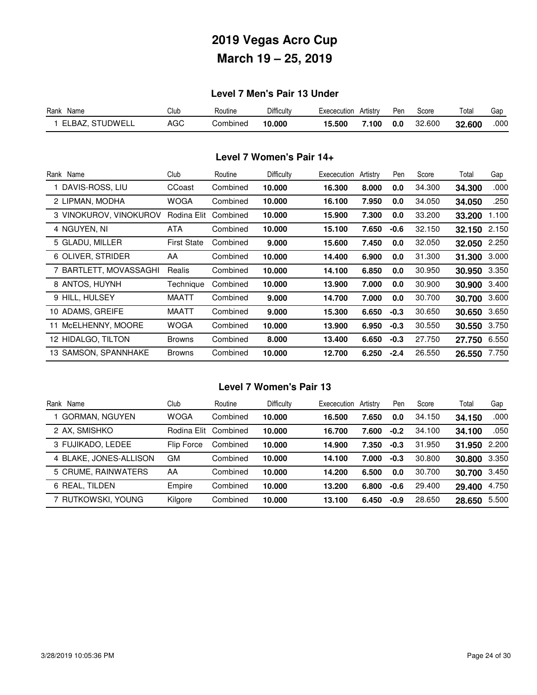### **Level 7 Men's Pair 13 Under**

| Rank<br>Name    | Club | ⊀outine  | Difficulty | Exececution | Artistrv | Pen | Score  | Total  | Gap  |
|-----------------|------|----------|------------|-------------|----------|-----|--------|--------|------|
| ELBAZ. STUDWELL | AGC  | Combined | 10.000     | 15.500      | .100     | 0.0 | 32.600 | 32.600 | .000 |

#### **Level 7 Women's Pair 14+**

| Rank Name              | Club               | Routine  | Difficulty | Exececution | Artistry | Pen    | Score  | Total  | Gap   |
|------------------------|--------------------|----------|------------|-------------|----------|--------|--------|--------|-------|
| DAVIS-ROSS, LIU        | CCoast             | Combined | 10.000     | 16.300      | 8.000    | 0.0    | 34.300 | 34.300 | .000  |
| 2 LIPMAN, MODHA        | <b>WOGA</b>        | Combined | 10.000     | 16.100      | 7.950    | 0.0    | 34.050 | 34.050 | .250  |
| 3 VINOKUROV, VINOKUROV | Rodina Elit        | Combined | 10.000     | 15.900      | 7.300    | 0.0    | 33.200 | 33.200 | 1.100 |
| 4 NGUYEN, NI           | ATA                | Combined | 10.000     | 15.100      | 7.650    | $-0.6$ | 32.150 | 32.150 | 2.150 |
| 5 GLADU, MILLER        | <b>First State</b> | Combined | 9.000      | 15.600      | 7.450    | 0.0    | 32.050 | 32.050 | 2.250 |
| 6 OLIVER, STRIDER      | AA                 | Combined | 10.000     | 14.400      | 6.900    | 0.0    | 31.300 | 31.300 | 3.000 |
| 7 BARTLETT, MOVASSAGHI | Realis             | Combined | 10.000     | 14.100      | 6.850    | 0.0    | 30.950 | 30.950 | 3.350 |
| 8 ANTOS, HUYNH         | Technique          | Combined | 10.000     | 13.900      | 7.000    | 0.0    | 30.900 | 30.900 | 3.400 |
| 9 HILL, HULSEY         | MAATT              | Combined | 9.000      | 14.700      | 7.000    | 0.0    | 30.700 | 30.700 | 3.600 |
| 10 ADAMS, GREIFE       | <b>MAATT</b>       | Combined | 9.000      | 15.300      | 6.650    | $-0.3$ | 30.650 | 30.650 | 3.650 |
| 11 McELHENNY, MOORE    | <b>WOGA</b>        | Combined | 10.000     | 13.900      | 6.950    | $-0.3$ | 30.550 | 30.550 | 3.750 |
| 12 HIDALGO, TILTON     | <b>Browns</b>      | Combined | 8.000      | 13.400      | 6.650    | $-0.3$ | 27.750 | 27.750 | 6.550 |
| 13 SAMSON, SPANNHAKE   | <b>Browns</b>      | Combined | 10.000     | 12.700      | 6.250    | $-2.4$ | 26.550 | 26,550 | 7.750 |

### **Level 7 Women's Pair 13**

| Rank Name              | Club        | Routine  | Difficulty | Exececution | Artistry | Pen    | Score  | Total        | Gap   |
|------------------------|-------------|----------|------------|-------------|----------|--------|--------|--------------|-------|
| <b>GORMAN, NGUYEN</b>  | <b>WOGA</b> | Combined | 10.000     | 16.500      | 7.650    | 0.0    | 34.150 | 34.150       | .000  |
| 2 AX. SMISHKO          | Rodina Elit | Combined | 10.000     | 16.700      | 7.600    | $-0.2$ | 34.100 | 34.100       | .050  |
| 3 FUJIKADO, LEDEE      | Flip Force  | Combined | 10.000     | 14.900      | 7.350    | $-0.3$ | 31.950 | 31.950       | 2.200 |
| 4 BLAKE, JONES-ALLISON | GM          | Combined | 10.000     | 14.100      | 7.000    | $-0.3$ | 30.800 | 30.800       | 3.350 |
| 5 CRUME, RAINWATERS    | AA          | Combined | 10.000     | 14.200      | 6.500    | 0.0    | 30.700 | 30.700 3.450 |       |
| 6 REAL, TILDEN         | Empire      | Combined | 10.000     | 13.200      | 6.800    | $-0.6$ | 29.400 | 29.400       | 4.750 |
| 7 rutkowski, Young     | Kilgore     | Combined | 10.000     | 13.100      | 6.450    | $-0.9$ | 28.650 | 28.650       | 5.500 |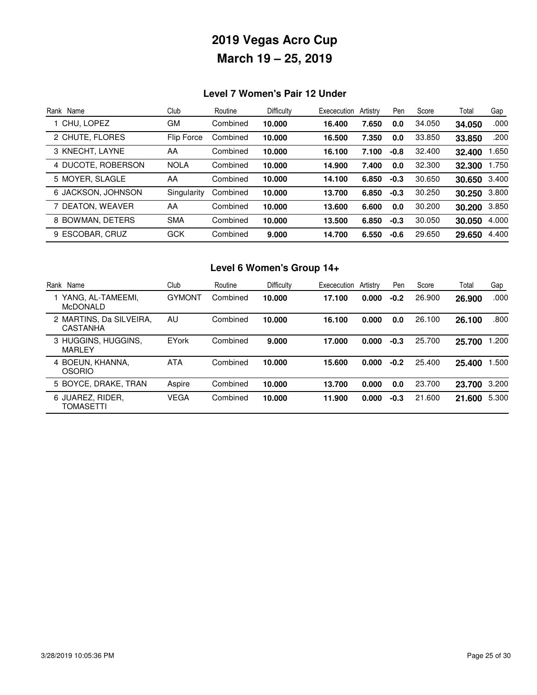### **Level 7 Women's Pair 12 Under**

| Rank Name          | Club        | Routine  | Difficulty | Exececution | Artistry | Pen    | Score  | Total  | Gap   |
|--------------------|-------------|----------|------------|-------------|----------|--------|--------|--------|-------|
| 1 CHU. LOPEZ       | GM          | Combined | 10.000     | 16.400      | 7.650    | 0.0    | 34.050 | 34.050 | .000  |
| 2 CHUTE, FLORES    | Flip Force  | Combined | 10.000     | 16.500      | 7.350    | 0.0    | 33,850 | 33,850 | .200  |
| 3 KNECHT, LAYNE    | AA          | Combined | 10.000     | 16.100      | 7.100    | $-0.8$ | 32.400 | 32.400 | 1.650 |
| 4 DUCOTE, ROBERSON | <b>NOLA</b> | Combined | 10.000     | 14.900      | 7.400    | 0.0    | 32,300 | 32.300 | 1.750 |
| 5 MOYER, SLAGLE    | AA          | Combined | 10.000     | 14.100      | 6.850    | $-0.3$ | 30.650 | 30.650 | 3.400 |
| 6 JACKSON, JOHNSON | Singularity | Combined | 10.000     | 13.700      | 6.850    | $-0.3$ | 30.250 | 30.250 | 3.800 |
| 7 DEATON, WEAVER   | AA          | Combined | 10.000     | 13.600      | 6.600    | 0.0    | 30.200 | 30.200 | 3.850 |
| 8 BOWMAN, DETERS   | <b>SMA</b>  | Combined | 10.000     | 13.500      | 6.850    | $-0.3$ | 30.050 | 30.050 | 4.000 |
| 9 ESCOBAR, CRUZ    | <b>GCK</b>  | Combined | 9.000      | 14.700      | 6.550    | $-0.6$ | 29.650 | 29.650 | 4.400 |

## **Level 6 Women's Group 14+**

| Rank Name                            | Club          | Routine  | <b>Difficulty</b> | Exececution | Artistry | Pen    | Score  | Total  | Gap   |
|--------------------------------------|---------------|----------|-------------------|-------------|----------|--------|--------|--------|-------|
| YANG, AL-TAMEEMI,<br><b>McDONALD</b> | <b>GYMONT</b> | Combined | 10.000            | 17.100      | 0.000    | $-0.2$ | 26.900 | 26.900 | .000  |
| 2 MARTINS, Da SILVEIRA,<br>CASTANHA  | AU            | Combined | 10.000            | 16.100      | 0.000    | 0.0    | 26.100 | 26.100 | .800  |
| 3 HUGGINS, HUGGINS,<br>MARLEY        | EYork         | Combined | 9.000             | 17.000      | 0.000    | $-0.3$ | 25.700 | 25.700 | .200  |
| 4 BOEUN, KHANNA.<br><b>OSORIO</b>    | <b>ATA</b>    | Combined | 10.000            | 15.600      | 0.000    | $-0.2$ | 25.400 | 25.400 | .500  |
| 5 BOYCE, DRAKE, TRAN                 | Aspire        | Combined | 10.000            | 13.700      | 0.000    | 0.0    | 23.700 | 23.700 | 3.200 |
| 6 JUAREZ, RIDER,<br>TOMASETTI        | <b>VEGA</b>   | Combined | 10.000            | 11.900      | 0.000    | $-0.3$ | 21.600 | 21.600 | 5.300 |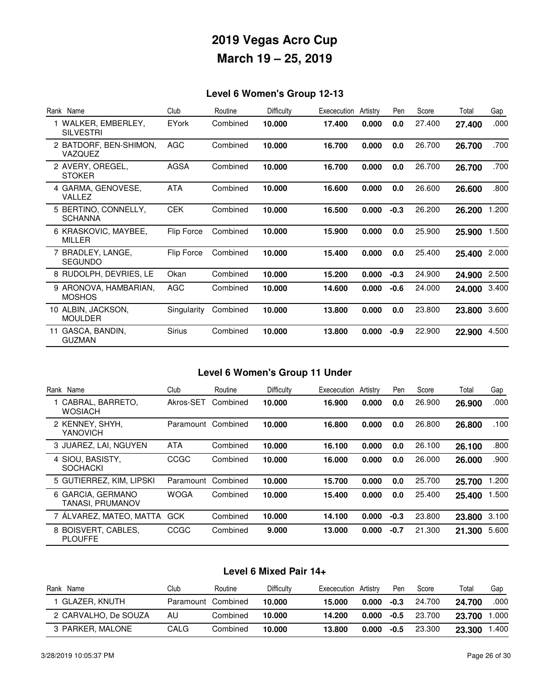## **Level 6 Women's Group 12-13**

| Rank Name                               | Club          | Routine  | Difficulty | Exececution | Artistry | Pen    | Score  | Total  | Gap   |
|-----------------------------------------|---------------|----------|------------|-------------|----------|--------|--------|--------|-------|
| 1 WALKER, EMBERLEY,<br><b>SILVESTRI</b> | <b>EYork</b>  | Combined | 10,000     | 17.400      | 0.000    | 0.0    | 27.400 | 27.400 | .000  |
| 2 BATDORF, BEN-SHIMON,<br>VAZQUEZ       | AGC           | Combined | 10.000     | 16.700      | 0.000    | 0.0    | 26.700 | 26.700 | .700  |
| 2 AVERY, OREGEL,<br><b>STOKER</b>       | AGSA          | Combined | 10,000     | 16.700      | 0.000    | 0.0    | 26.700 | 26.700 | .700  |
| 4 GARMA, GENOVESE,<br>VALLEZ            | <b>ATA</b>    | Combined | 10.000     | 16.600      | 0.000    | 0.0    | 26.600 | 26.600 | .800  |
| 5 BERTINO, CONNELLY,<br><b>SCHANNA</b>  | <b>CEK</b>    | Combined | 10,000     | 16.500      | 0.000    | $-0.3$ | 26,200 | 26.200 | 1.200 |
| 6 KRASKOVIC, MAYBEE,<br><b>MILLER</b>   | Flip Force    | Combined | 10,000     | 15.900      | 0.000    | 0.0    | 25.900 | 25.900 | 1.500 |
| 7 BRADLEY, LANGE,<br><b>SEGUNDO</b>     | Flip Force    | Combined | 10.000     | 15.400      | 0.000    | 0.0    | 25.400 | 25.400 | 2.000 |
| 8 RUDOLPH, DEVRIES, LE                  | Okan          | Combined | 10.000     | 15.200      | 0.000    | $-0.3$ | 24.900 | 24.900 | 2.500 |
| 9 ARONOVA, HAMBARIAN,<br><b>MOSHOS</b>  | <b>AGC</b>    | Combined | 10.000     | 14.600      | 0.000    | $-0.6$ | 24.000 | 24.000 | 3.400 |
| 10 ALBIN, JACKSON,<br><b>MOULDER</b>    | Singularity   | Combined | 10.000     | 13.800      | 0.000    | 0.0    | 23,800 | 23.800 | 3.600 |
| 11 GASCA, BANDIN,<br><b>GUZMAN</b>      | <b>Sirius</b> | Combined | 10,000     | 13.800      | 0.000    | $-0.9$ | 22,900 | 22.900 | 4.500 |

### **Level 6 Women's Group 11 Under**

| Rank<br>Name                          | Club        | Routine  | Difficulty | Exececution | Artistry | Pen    | Score  | Total  | Gap   |
|---------------------------------------|-------------|----------|------------|-------------|----------|--------|--------|--------|-------|
| CABRAL, BARRETO.<br><b>WOSIACH</b>    | Akros-SET   | Combined | 10.000     | 16.900      | 0.000    | 0.0    | 26,900 | 26,900 | .000  |
| 2 KENNEY, SHYH,<br>YANOVICH           | Paramount   | Combined | 10.000     | 16.800      | 0.000    | 0.0    | 26,800 | 26.800 | .100  |
| 3 JUAREZ, LAI, NGUYEN                 | <b>ATA</b>  | Combined | 10.000     | 16.100      | 0.000    | 0.0    | 26.100 | 26.100 | .800  |
| 4 SIOU, BASISTY,<br><b>SOCHACKI</b>   | CCGC        | Combined | 10.000     | 16.000      | 0.000    | 0.0    | 26,000 | 26.000 | .900  |
| 5 GUTIERREZ, KIM, LIPSKI              | Paramount   | Combined | 10.000     | 15.700      | 0.000    | 0.0    | 25.700 | 25.700 | .200  |
| 6 GARCIA, GERMANO<br>TANASI. PRUMANOV | <b>WOGA</b> | Combined | 10.000     | 15.400      | 0.000    | 0.0    | 25.400 | 25.400 | .500  |
| 7 ALVAREZ, MATEO, MATTA               | GCK         | Combined | 10.000     | 14.100      | 0.000    | $-0.3$ | 23,800 | 23.800 | 3.100 |
| 8 BOISVERT, CABLES,<br><b>PLOUFFE</b> | CCGC        | Combined | 9.000      | 13.000      | 0.000    | $-0.7$ | 21.300 | 21.300 | 5.600 |

#### **Level 6 Mixed Pair 14+**

| Name<br>Rank         | Club               | Routine  | Difficulty | Exececution | Artistry | Pen    | Score  | Total  | Gap   |
|----------------------|--------------------|----------|------------|-------------|----------|--------|--------|--------|-------|
| GLAZER, KNUTH        | Paramount Combined |          | 10.000     | 15.000      | 0.000    | $-0.3$ | 24.700 | 24,700 | .000  |
| 2 CARVALHO, De SOUZA | AU                 | Combined | 10.000     | 14.200      | 0.000    | $-0.5$ | 23.700 | 23.700 | 1.000 |
| 3 PARKER, MALONE     | CALG               | Combined | 10.000     | 13.800      | 0.000    | -0.5   | 23,300 | 23.300 | .400  |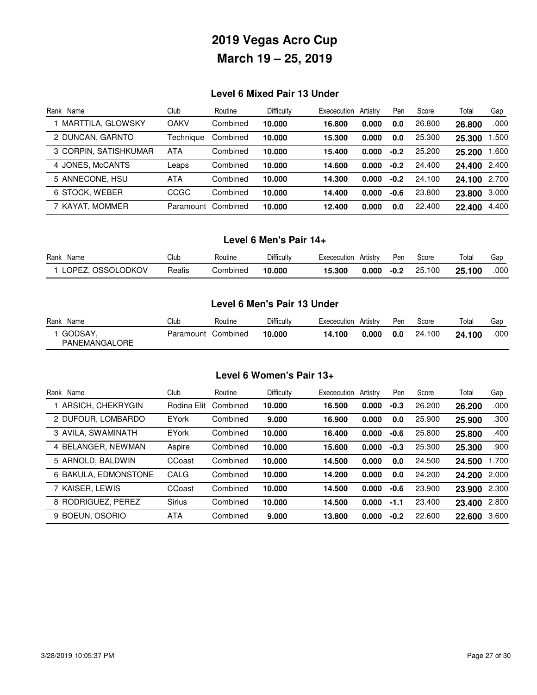### **Level 6 Mixed Pair 13 Under**

| Rank Name             | Club        | Routine  | Difficulty | Exececution | Artistry | Pen    | Score  | Total  | Gap   |
|-----------------------|-------------|----------|------------|-------------|----------|--------|--------|--------|-------|
| MARTTILA, GLOWSKY     | <b>OAKV</b> | Combined | 10.000     | 16.800      | 0.000    | 0.0    | 26.800 | 26.800 | .000  |
| 2 DUNCAN, GARNTO      | Techniaue   | Combined | 10.000     | 15.300      | 0.000    | 0.0    | 25.300 | 25,300 | .500  |
| 3 CORPIN, SATISHKUMAR | <b>ATA</b>  | Combined | 10.000     | 15.400      | 0.000    | $-0.2$ | 25.200 | 25.200 | .600  |
| 4 JONES, McCANTS      | Leaps       | Combined | 10.000     | 14.600      | 0.000    | $-0.2$ | 24.400 | 24.400 | 2.400 |
| 5 ANNECONE, HSU       | <b>ATA</b>  | Combined | 10.000     | 14.300      | 0.000    | $-0.2$ | 24.100 | 24.100 | 2.700 |
| 6 STOCK, WEBER        | <b>CCGC</b> | Combined | 10.000     | 14.400      | 0.000    | $-0.6$ | 23.800 | 23.800 | 3.000 |
| 7 KAYAT, MOMMER       | Paramount   | Combined | 10.000     | 12.400      | 0.000    | 0.0    | 22.400 | 22.400 | 4.400 |

#### **Level 6 Men's Pair 14+**

| Rank<br>Name              | Club   | Routine  | Difficulty | Exececution | Artistrv | Pen    | Score      | Total       | Gar  |
|---------------------------|--------|----------|------------|-------------|----------|--------|------------|-------------|------|
| <b>OSSOLODKOV</b><br>OPE7 | Realis | Combined | 10.000     | 15.300      | 0.000    | $-0.2$ | 100<br>25. | .100<br>25. | .000 |

#### **Level 6 Men's Pair 13 Under**

| Rank | Name                     | Club      | Routine  | Difficulty | Exececution | Artistry | Pen | Score  | Total  | Gap  |
|------|--------------------------|-----------|----------|------------|-------------|----------|-----|--------|--------|------|
|      | GODSAY,<br>PANEMANGALORE | Paramount | Combined | 10.000     | 14.100      | 0.000    | 0.0 | 24.100 | 24.100 | .000 |

### **Level 6 Women's Pair 13+**

| Rank Name            | Club          | Routine  | Difficulty | Exececution | Artistry | Pen    | Score  | Total  | Gap   |
|----------------------|---------------|----------|------------|-------------|----------|--------|--------|--------|-------|
| ARSICH, CHEKRYGIN    | Rodina Elit   | Combined | 10.000     | 16.500      | 0.000    | $-0.3$ | 26,200 | 26,200 | .000  |
| 2 DUFOUR, LOMBARDO   | <b>EYork</b>  | Combined | 9.000      | 16.900      | 0.000    | 0.0    | 25.900 | 25.900 | .300  |
| 3 AVILA, SWAMINATH   | <b>EYork</b>  | Combined | 10.000     | 16.400      | 0.000    | $-0.6$ | 25.800 | 25.800 | .400  |
| 4 BELANGER, NEWMAN   | Aspire        | Combined | 10.000     | 15.600      | 0.000    | $-0.3$ | 25.300 | 25.300 | .900  |
| 5 ARNOLD, BALDWIN    | CCoast        | Combined | 10.000     | 14.500      | 0.000    | 0.0    | 24.500 | 24,500 | 1.700 |
| 6 BAKULA, EDMONSTONE | CALG          | Combined | 10.000     | 14.200      | 0.000    | 0.0    | 24.200 | 24.200 | 2.000 |
| 7 KAISER, LEWIS      | CCoast        | Combined | 10.000     | 14.500      | 0.000    | $-0.6$ | 23,900 | 23.900 | 2.300 |
| 8 RODRIGUEZ, PEREZ   | <b>Sirius</b> | Combined | 10.000     | 14.500      | 0.000    | $-1.1$ | 23.400 | 23.400 | 2.800 |
| 9 BOEUN, OSORIO      | <b>ATA</b>    | Combined | 9.000      | 13.800      | 0.000    | $-0.2$ | 22.600 | 22.600 | 3.600 |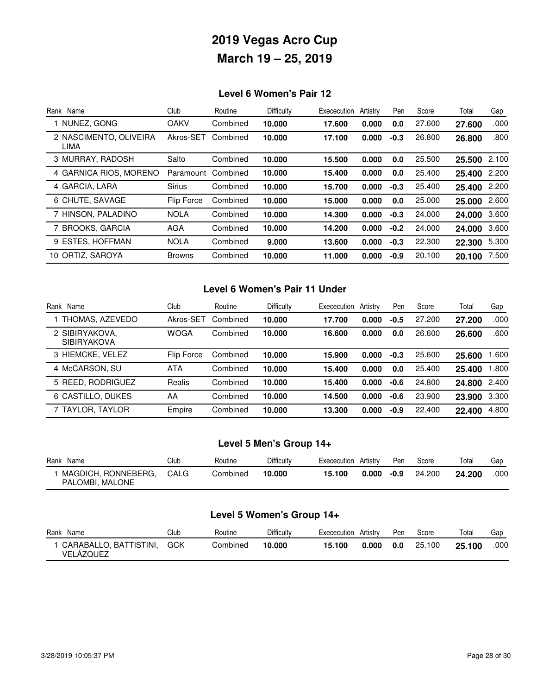### **Level 6 Women's Pair 12**

| Rank Name                      | Club          | Routine  | Difficulty | Exececution | Artistry | Pen    | Score  | Total  | Gap   |
|--------------------------------|---------------|----------|------------|-------------|----------|--------|--------|--------|-------|
| NUNEZ, GONG                    | <b>OAKV</b>   | Combined | 10.000     | 17.600      | 0.000    | 0.0    | 27.600 | 27.600 | .000  |
| 2 NASCIMENTO, OLIVEIRA<br>LIMA | Akros-SET     | Combined | 10.000     | 17.100      | 0.000    | $-0.3$ | 26,800 | 26.800 | .800  |
| 3 MURRAY, RADOSH               | Salto         | Combined | 10.000     | 15.500      | 0.000    | 0.0    | 25.500 | 25.500 | 2.100 |
| 4 GARNICA RIOS, MORENO         | Paramount     | Combined | 10.000     | 15.400      | 0.000    | 0.0    | 25.400 | 25.400 | 2.200 |
| 4 GARCIA, LARA                 | <b>Sirius</b> | Combined | 10.000     | 15.700      | 0.000    | $-0.3$ | 25.400 | 25.400 | 2.200 |
| 6 CHUTE, SAVAGE                | Flip Force    | Combined | 10.000     | 15.000      | 0.000    | 0.0    | 25,000 | 25.000 | 2.600 |
| 7 HINSON, PALADINO             | <b>NOLA</b>   | Combined | 10.000     | 14.300      | 0.000    | $-0.3$ | 24.000 | 24.000 | 3.600 |
| 7 BROOKS, GARCIA               | AGA           | Combined | 10.000     | 14.200      | 0.000    | $-0.2$ | 24.000 | 24.000 | 3.600 |
| 9 ESTES, HOFFMAN               | <b>NOLA</b>   | Combined | 9.000      | 13.600      | 0.000    | $-0.3$ | 22,300 | 22.300 | 5.300 |
| 10 ORTIZ, SAROYA               | <b>Browns</b> | Combined | 10.000     | 11.000      | 0.000    | $-0.9$ | 20.100 | 20.100 | 7.500 |

### **Level 6 Women's Pair 11 Under**

| Name<br>Rank                         | Club        | Routine  | Difficulty | Exececution | Artistry | Pen    | Score  | Total  | Gap   |
|--------------------------------------|-------------|----------|------------|-------------|----------|--------|--------|--------|-------|
| THOMAS, AZEVEDO                      | Akros-SET   | Combined | 10.000     | 17.700      | 0.000    | $-0.5$ | 27.200 | 27.200 | .000  |
| 2 SIBIRYAKOVA,<br><b>SIBIRYAKOVA</b> | <b>WOGA</b> | Combined | 10.000     | 16.600      | 0.000    | 0.0    | 26,600 | 26.600 | .600  |
| 3 HIEMCKE, VELEZ                     | Flip Force  | Combined | 10.000     | 15.900      | 0.000    | $-0.3$ | 25.600 | 25,600 | .600  |
| 4 McCARSON, SU                       | <b>ATA</b>  | Combined | 10.000     | 15.400      | 0.000    | 0.0    | 25.400 | 25.400 | .800  |
| 5 REED, RODRIGUEZ                    | Realis      | Combined | 10.000     | 15.400      | 0.000    | $-0.6$ | 24.800 | 24.800 | 2.400 |
| 6 CASTILLO, DUKES                    | AA          | Combined | 10.000     | 14.500      | 0.000    | $-0.6$ | 23.900 | 23.900 | 3.300 |
| 7 TAYLOR, TAYLOR                     | Empire      | Combined | 10.000     | 13.300      | 0.000    | $-0.9$ | 22,400 | 22.400 | 4.800 |

### **Level 5 Men's Group 14+**

| Rank Name                              | Club | Routine  | Difficulty | Exececution | Artistry | Pen  | Score  | Total  | Gap  |
|----------------------------------------|------|----------|------------|-------------|----------|------|--------|--------|------|
| MAGDICH, RONNEBERG,<br>PALOMBI, MALONE | CALG | Combined | 10.000     | 15.100      | 0.000    | -0.9 | 24.200 | 24.200 | .000 |

### **Level 5 Women's Group 14+**

| Rank<br>Name                        | Club | Routine  | Difficultv | Exececution | Artistrv | Pen | Score  | Total  | Gap  |
|-------------------------------------|------|----------|------------|-------------|----------|-----|--------|--------|------|
| CARABALLO, BATTISTINI,<br>VELAZQUEZ | GCK  | Combined | 10.000     | 15.100      | 0.000    | 0.0 | 25.100 | 25.100 | .000 |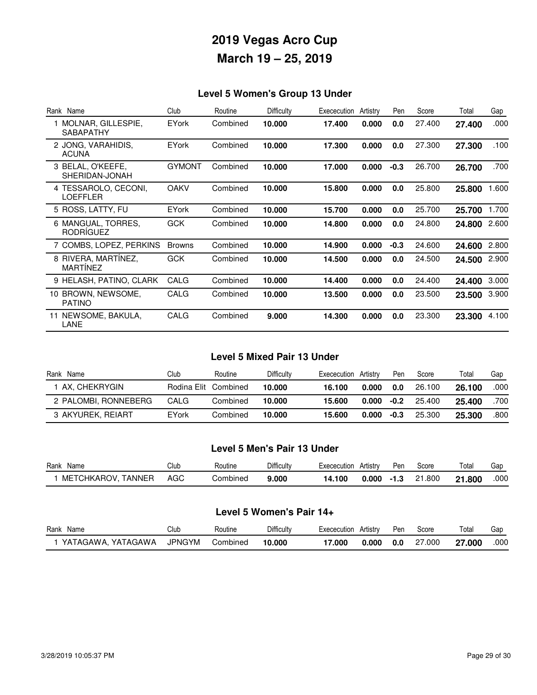### **Level 5 Women's Group 13 Under**

| Rank Name                                | Club          | Routine  | Difficulty | Exececution | Artistry | Pen    | Score  | Total  | Gap   |
|------------------------------------------|---------------|----------|------------|-------------|----------|--------|--------|--------|-------|
| 1 MOLNAR, GILLESPIE,<br><b>SABAPATHY</b> | <b>EYork</b>  | Combined | 10.000     | 17.400      | 0.000    | 0.0    | 27.400 | 27.400 | .000  |
| 2 JONG, VARAHIDIS,<br><b>ACUNA</b>       | <b>EYork</b>  | Combined | 10.000     | 17.300      | 0.000    | 0.0    | 27.300 | 27.300 | .100  |
| 3 BELAL, O'KEEFE,<br>SHERIDAN-JONAH      | <b>GYMONT</b> | Combined | 10.000     | 17.000      | 0.000    | $-0.3$ | 26.700 | 26.700 | .700  |
| 4 TESSAROLO, CECONI,<br>LOEFFLER         | <b>OAKV</b>   | Combined | 10.000     | 15.800      | 0.000    | 0.0    | 25,800 | 25.800 | 1.600 |
| 5 ROSS, LATTY, FU                        | <b>EYork</b>  | Combined | 10.000     | 15.700      | 0.000    | 0.0    | 25.700 | 25.700 | 1.700 |
| 6 MANGUAL, TORRES,<br>RODRÍGUEZ          | <b>GCK</b>    | Combined | 10.000     | 14.800      | 0.000    | 0.0    | 24.800 | 24.800 | 2.600 |
| 7 COMBS, LOPEZ, PERKINS                  | <b>Browns</b> | Combined | 10.000     | 14.900      | 0.000    | $-0.3$ | 24.600 | 24.600 | 2.800 |
| 8 RIVERA, MARTINEZ,<br><b>MARTINEZ</b>   | <b>GCK</b>    | Combined | 10.000     | 14.500      | 0.000    | 0.0    | 24.500 | 24.500 | 2.900 |
| 9 HELASH, PATINO, CLARK                  | CALG          | Combined | 10.000     | 14.400      | 0.000    | 0.0    | 24.400 | 24.400 | 3.000 |
| 10 BROWN, NEWSOME,<br><b>PATINO</b>      | CALG          | Combined | 10.000     | 13.500      | 0.000    | 0.0    | 23.500 | 23.500 | 3.900 |
| 11 NEWSOME, BAKULA,<br>LANE              | CALG          | Combined | 9.000      | 14.300      | 0.000    | 0.0    | 23.300 | 23.300 | 4.100 |

#### **Level 5 Mixed Pair 13 Under**

| Rank Name            | Club                 | Routine  | Difficulty | Exececution Artistry |       | Pen    | Score  | Total  | Gap  |
|----------------------|----------------------|----------|------------|----------------------|-------|--------|--------|--------|------|
| 1 AX. CHEKRYGIN      | Rodina Elit Combined |          | 10.000     | 16.100               | 0.000 | 0.0    | 26.100 | 26.100 | .000 |
| 2 PALOMBI, RONNEBERG | CALG                 | Combined | 10.000     | 15.600               | 0.000 | $-0.2$ | 25.400 | 25.400 | .700 |
| 3 AKYUREK, REIART    | EYork                | Combined | 10.000     | 15.600               | 0.000 | $-0.3$ | 25.300 | 25.300 | .800 |

#### **Level 5 Men's Pair 13 Under**

| Rank<br>Name          | Club | ⊀outıne  | Difficulty | Exececution | Artistrv | Per  | Score      | Total       | Gar  |
|-----------------------|------|----------|------------|-------------|----------|------|------------|-------------|------|
| TANNER<br>METCHKAROV. | AGC  | Combined | 9.000      | 14.100      | .000     | -1.3 | .800<br>21 | 1.800<br>01 | .000 |

### **Level 5 Women's Pair 14+**

| Rank<br>Name         | Club   | Routine  | <b>Difficulty</b> | Exececution | Artistrv | Dor<br>-er | Score       | Total      | Gar  |
|----------------------|--------|----------|-------------------|-------------|----------|------------|-------------|------------|------|
| YATAGAWA<br>YATAGAWA | JPNGYM | Combined | 10.000            | 000./       | .000     | 0.0        | 000.'<br>27 | .00C<br>דה | .000 |